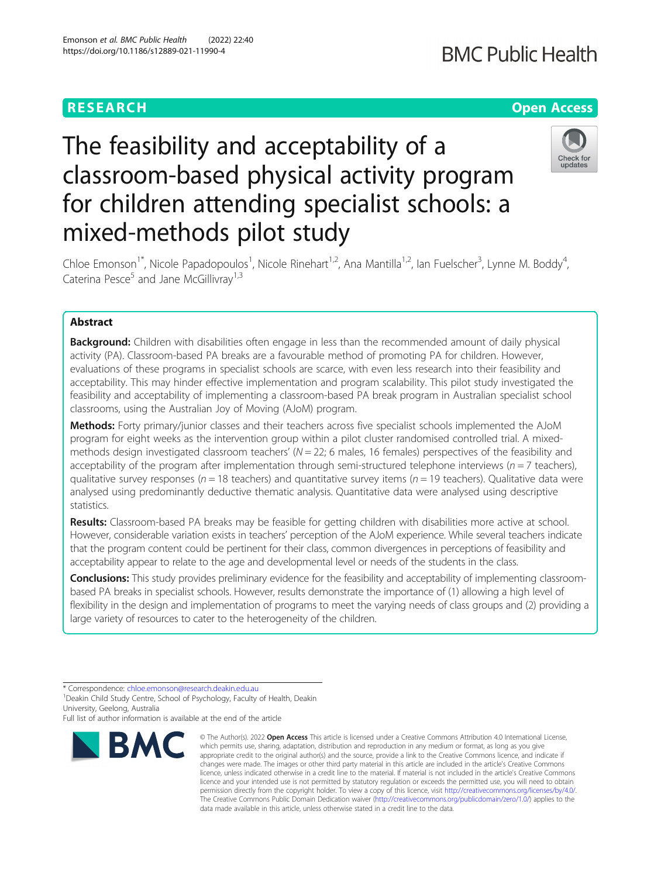## **RESEARCH CHE Open Access**

# The feasibility and acceptability of a classroom-based physical activity program for children attending specialist schools: a mixed-methods pilot study



Chloe Emonson<sup>1\*</sup>, Nicole Papadopoulos<sup>1</sup>, Nicole Rinehart<sup>1,2</sup>, Ana Mantilla<sup>1,2</sup>, Ian Fuelscher<sup>3</sup>, Lynne M. Boddy<sup>4</sup> , Caterina Pesce<sup>5</sup> and Jane McGillivray<sup>1,3</sup>

### Abstract

**Background:** Children with disabilities often engage in less than the recommended amount of daily physical activity (PA). Classroom-based PA breaks are a favourable method of promoting PA for children. However, evaluations of these programs in specialist schools are scarce, with even less research into their feasibility and acceptability. This may hinder effective implementation and program scalability. This pilot study investigated the feasibility and acceptability of implementing a classroom-based PA break program in Australian specialist school classrooms, using the Australian Joy of Moving (AJoM) program.

Methods: Forty primary/junior classes and their teachers across five specialist schools implemented the AJoM program for eight weeks as the intervention group within a pilot cluster randomised controlled trial. A mixedmethods design investigated classroom teachers' ( $N = 22$ ; 6 males, 16 females) perspectives of the feasibility and acceptability of the program after implementation through semi-structured telephone interviews ( $n = 7$  teachers), qualitative survey responses ( $n = 18$  teachers) and quantitative survey items ( $n = 19$  teachers). Qualitative data were analysed using predominantly deductive thematic analysis. Quantitative data were analysed using descriptive statistics.

Results: Classroom-based PA breaks may be feasible for getting children with disabilities more active at school. However, considerable variation exists in teachers' perception of the AJoM experience. While several teachers indicate that the program content could be pertinent for their class, common divergences in perceptions of feasibility and acceptability appear to relate to the age and developmental level or needs of the students in the class.

**Conclusions:** This study provides preliminary evidence for the feasibility and acceptability of implementing classroombased PA breaks in specialist schools. However, results demonstrate the importance of (1) allowing a high level of flexibility in the design and implementation of programs to meet the varying needs of class groups and (2) providing a large variety of resources to cater to the heterogeneity of the children.

Full list of author information is available at the end of the article



<sup>©</sup> The Author(s), 2022 **Open Access** This article is licensed under a Creative Commons Attribution 4.0 International License, which permits use, sharing, adaptation, distribution and reproduction in any medium or format, as long as you give appropriate credit to the original author(s) and the source, provide a link to the Creative Commons licence, and indicate if changes were made. The images or other third party material in this article are included in the article's Creative Commons licence, unless indicated otherwise in a credit line to the material. If material is not included in the article's Creative Commons licence and your intended use is not permitted by statutory regulation or exceeds the permitted use, you will need to obtain permission directly from the copyright holder. To view a copy of this licence, visit [http://creativecommons.org/licenses/by/4.0/.](http://creativecommons.org/licenses/by/4.0/) The Creative Commons Public Domain Dedication waiver [\(http://creativecommons.org/publicdomain/zero/1.0/](http://creativecommons.org/publicdomain/zero/1.0/)) applies to the data made available in this article, unless otherwise stated in a credit line to the data.

<sup>\*</sup> Correspondence: [chloe.emonson@research.deakin.edu.au](mailto:chloe.emonson@research.deakin.edu.au) <sup>1</sup>

<sup>&</sup>lt;sup>1</sup> Deakin Child Study Centre, School of Psychology, Faculty of Health, Deakin University, Geelong, Australia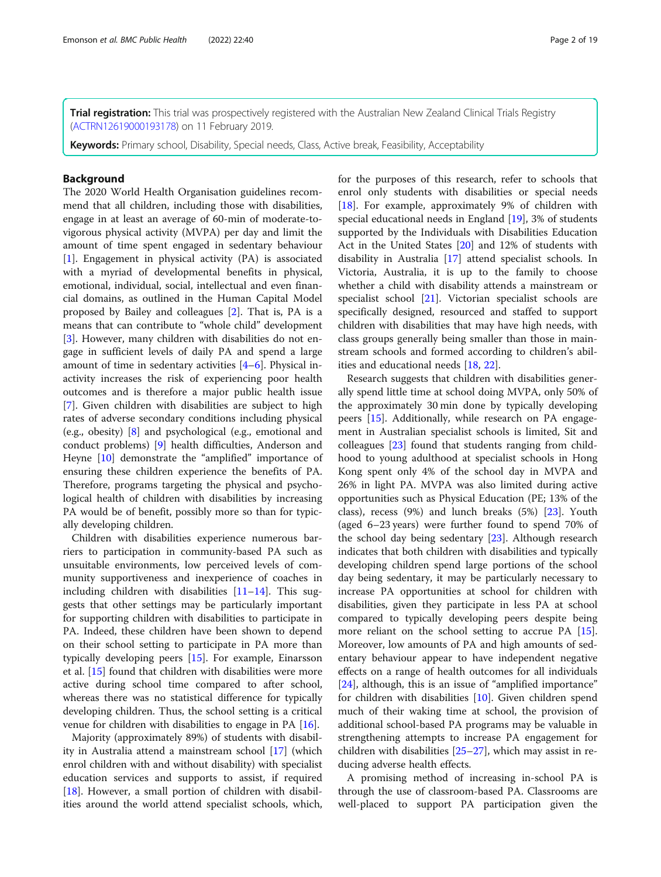Trial registration: This trial was prospectively registered with the Australian New Zealand Clinical Trials Registry ([ACTRN12619000193178\)](https://www.anzctr.org.au/Trial/Registration/TrialReview.aspx?id=376906&isReview=true) on 11 February 2019.

Keywords: Primary school, Disability, Special needs, Class, Active break, Feasibility, Acceptability

#### **Background**

The 2020 World Health Organisation guidelines recommend that all children, including those with disabilities, engage in at least an average of 60-min of moderate-tovigorous physical activity (MVPA) per day and limit the amount of time spent engaged in sedentary behaviour [[1\]](#page-16-0). Engagement in physical activity (PA) is associated with a myriad of developmental benefits in physical, emotional, individual, social, intellectual and even financial domains, as outlined in the Human Capital Model proposed by Bailey and colleagues [[2](#page-16-0)]. That is, PA is a means that can contribute to "whole child" development [[3\]](#page-16-0). However, many children with disabilities do not engage in sufficient levels of daily PA and spend a large amount of time in sedentary activities [[4](#page-16-0)–[6\]](#page-16-0). Physical inactivity increases the risk of experiencing poor health outcomes and is therefore a major public health issue [[7\]](#page-16-0). Given children with disabilities are subject to high rates of adverse secondary conditions including physical (e.g., obesity) [\[8](#page-16-0)] and psychological (e.g., emotional and conduct problems) [\[9\]](#page-16-0) health difficulties, Anderson and Heyne [[10\]](#page-16-0) demonstrate the "amplified" importance of ensuring these children experience the benefits of PA. Therefore, programs targeting the physical and psychological health of children with disabilities by increasing PA would be of benefit, possibly more so than for typically developing children.

Children with disabilities experience numerous barriers to participation in community-based PA such as unsuitable environments, low perceived levels of community supportiveness and inexperience of coaches in including children with disabilities  $[11-14]$  $[11-14]$  $[11-14]$ . This suggests that other settings may be particularly important for supporting children with disabilities to participate in PA. Indeed, these children have been shown to depend on their school setting to participate in PA more than typically developing peers [\[15](#page-16-0)]. For example, Einarsson et al. [\[15](#page-16-0)] found that children with disabilities were more active during school time compared to after school, whereas there was no statistical difference for typically developing children. Thus, the school setting is a critical venue for children with disabilities to engage in PA [[16\]](#page-16-0).

Majority (approximately 89%) of students with disability in Australia attend a mainstream school [\[17\]](#page-16-0) (which enrol children with and without disability) with specialist education services and supports to assist, if required [[18\]](#page-17-0). However, a small portion of children with disabilities around the world attend specialist schools, which, for the purposes of this research, refer to schools that enrol only students with disabilities or special needs [[18\]](#page-17-0). For example, approximately 9% of children with special educational needs in England [[19\]](#page-17-0), 3% of students supported by the Individuals with Disabilities Education Act in the United States [\[20](#page-17-0)] and 12% of students with disability in Australia [\[17](#page-16-0)] attend specialist schools. In Victoria, Australia, it is up to the family to choose whether a child with disability attends a mainstream or specialist school [[21](#page-17-0)]. Victorian specialist schools are specifically designed, resourced and staffed to support children with disabilities that may have high needs, with class groups generally being smaller than those in mainstream schools and formed according to children's abilities and educational needs [\[18](#page-17-0), [22](#page-17-0)].

Research suggests that children with disabilities generally spend little time at school doing MVPA, only 50% of the approximately 30 min done by typically developing peers [[15\]](#page-16-0). Additionally, while research on PA engagement in Australian specialist schools is limited, Sit and colleagues [\[23](#page-17-0)] found that students ranging from childhood to young adulthood at specialist schools in Hong Kong spent only 4% of the school day in MVPA and 26% in light PA. MVPA was also limited during active opportunities such as Physical Education (PE; 13% of the class), recess (9%) and lunch breaks (5%) [\[23](#page-17-0)]. Youth (aged 6–23 years) were further found to spend 70% of the school day being sedentary [[23\]](#page-17-0). Although research indicates that both children with disabilities and typically developing children spend large portions of the school day being sedentary, it may be particularly necessary to increase PA opportunities at school for children with disabilities, given they participate in less PA at school compared to typically developing peers despite being more reliant on the school setting to accrue PA [\[15](#page-16-0)]. Moreover, low amounts of PA and high amounts of sedentary behaviour appear to have independent negative effects on a range of health outcomes for all individuals [[24\]](#page-17-0), although, this is an issue of "amplified importance" for children with disabilities [[10](#page-16-0)]. Given children spend much of their waking time at school, the provision of additional school-based PA programs may be valuable in strengthening attempts to increase PA engagement for children with disabilities [[25](#page-17-0)–[27](#page-17-0)], which may assist in reducing adverse health effects.

A promising method of increasing in-school PA is through the use of classroom-based PA. Classrooms are well-placed to support PA participation given the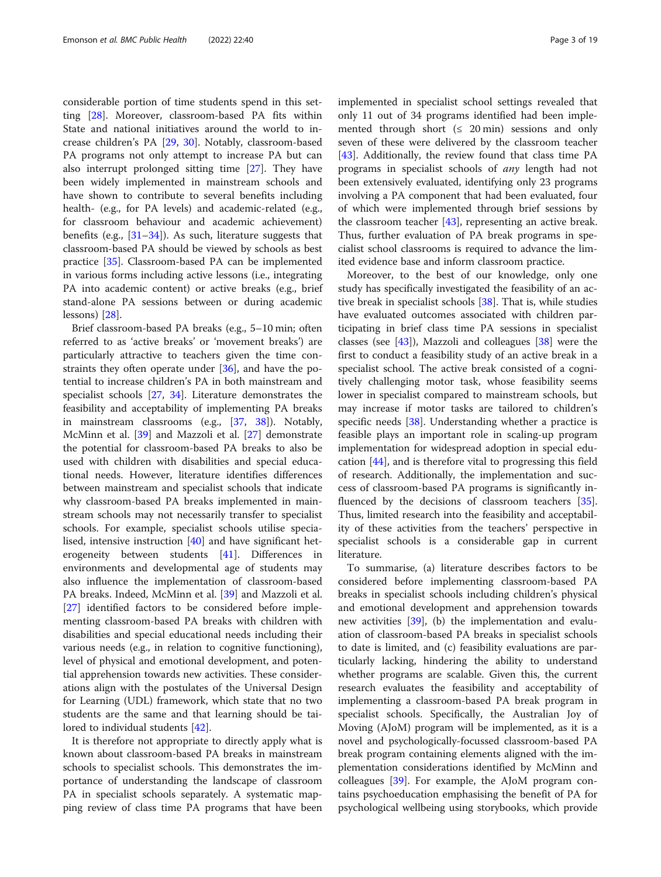considerable portion of time students spend in this setting [\[28](#page-17-0)]. Moreover, classroom-based PA fits within State and national initiatives around the world to increase children's PA [\[29,](#page-17-0) [30](#page-17-0)]. Notably, classroom-based PA programs not only attempt to increase PA but can also interrupt prolonged sitting time [\[27\]](#page-17-0). They have been widely implemented in mainstream schools and have shown to contribute to several benefits including health- (e.g., for PA levels) and academic-related (e.g., for classroom behaviour and academic achievement) benefits (e.g., [\[31](#page-17-0)–[34\]](#page-17-0)). As such, literature suggests that classroom-based PA should be viewed by schools as best practice [\[35\]](#page-17-0). Classroom-based PA can be implemented in various forms including active lessons (i.e., integrating PA into academic content) or active breaks (e.g., brief stand-alone PA sessions between or during academic lessons) [[28\]](#page-17-0).

Brief classroom-based PA breaks (e.g., 5–10 min; often referred to as 'active breaks' or 'movement breaks') are particularly attractive to teachers given the time constraints they often operate under  $[36]$  $[36]$  $[36]$ , and have the potential to increase children's PA in both mainstream and specialist schools [\[27](#page-17-0), [34\]](#page-17-0). Literature demonstrates the feasibility and acceptability of implementing PA breaks in mainstream classrooms (e.g., [\[37](#page-17-0), [38\]](#page-17-0)). Notably, McMinn et al. [[39\]](#page-17-0) and Mazzoli et al. [[27\]](#page-17-0) demonstrate the potential for classroom-based PA breaks to also be used with children with disabilities and special educational needs. However, literature identifies differences between mainstream and specialist schools that indicate why classroom-based PA breaks implemented in mainstream schools may not necessarily transfer to specialist schools. For example, specialist schools utilise specialised, intensive instruction [[40\]](#page-17-0) and have significant heterogeneity between students [[41\]](#page-17-0). Differences in environments and developmental age of students may also influence the implementation of classroom-based PA breaks. Indeed, McMinn et al. [[39](#page-17-0)] and Mazzoli et al. [[27\]](#page-17-0) identified factors to be considered before implementing classroom-based PA breaks with children with disabilities and special educational needs including their various needs (e.g., in relation to cognitive functioning), level of physical and emotional development, and potential apprehension towards new activities. These considerations align with the postulates of the Universal Design for Learning (UDL) framework, which state that no two students are the same and that learning should be tailored to individual students [\[42](#page-17-0)].

It is therefore not appropriate to directly apply what is known about classroom-based PA breaks in mainstream schools to specialist schools. This demonstrates the importance of understanding the landscape of classroom PA in specialist schools separately. A systematic mapping review of class time PA programs that have been implemented in specialist school settings revealed that only 11 out of 34 programs identified had been implemented through short  $(≤ 20 min)$  sessions and only seven of these were delivered by the classroom teacher [[43\]](#page-17-0). Additionally, the review found that class time PA programs in specialist schools of any length had not been extensively evaluated, identifying only 23 programs involving a PA component that had been evaluated, four of which were implemented through brief sessions by the classroom teacher [\[43](#page-17-0)], representing an active break. Thus, further evaluation of PA break programs in specialist school classrooms is required to advance the limited evidence base and inform classroom practice.

Moreover, to the best of our knowledge, only one study has specifically investigated the feasibility of an active break in specialist schools [\[38](#page-17-0)]. That is, while studies have evaluated outcomes associated with children participating in brief class time PA sessions in specialist classes (see  $[43]$  $[43]$ ), Mazzoli and colleagues  $[38]$  $[38]$  were the first to conduct a feasibility study of an active break in a specialist school. The active break consisted of a cognitively challenging motor task, whose feasibility seems lower in specialist compared to mainstream schools, but may increase if motor tasks are tailored to children's specific needs [[38](#page-17-0)]. Understanding whether a practice is feasible plays an important role in scaling-up program implementation for widespread adoption in special education [[44\]](#page-17-0), and is therefore vital to progressing this field of research. Additionally, the implementation and success of classroom-based PA programs is significantly in-fluenced by the decisions of classroom teachers [\[35](#page-17-0)]. Thus, limited research into the feasibility and acceptability of these activities from the teachers' perspective in specialist schools is a considerable gap in current literature.

To summarise, (a) literature describes factors to be considered before implementing classroom-based PA breaks in specialist schools including children's physical and emotional development and apprehension towards new activities [[39\]](#page-17-0), (b) the implementation and evaluation of classroom-based PA breaks in specialist schools to date is limited, and (c) feasibility evaluations are particularly lacking, hindering the ability to understand whether programs are scalable. Given this, the current research evaluates the feasibility and acceptability of implementing a classroom-based PA break program in specialist schools. Specifically, the Australian Joy of Moving (AJoM) program will be implemented, as it is a novel and psychologically-focussed classroom-based PA break program containing elements aligned with the implementation considerations identified by McMinn and colleagues [\[39](#page-17-0)]. For example, the AJoM program contains psychoeducation emphasising the benefit of PA for psychological wellbeing using storybooks, which provide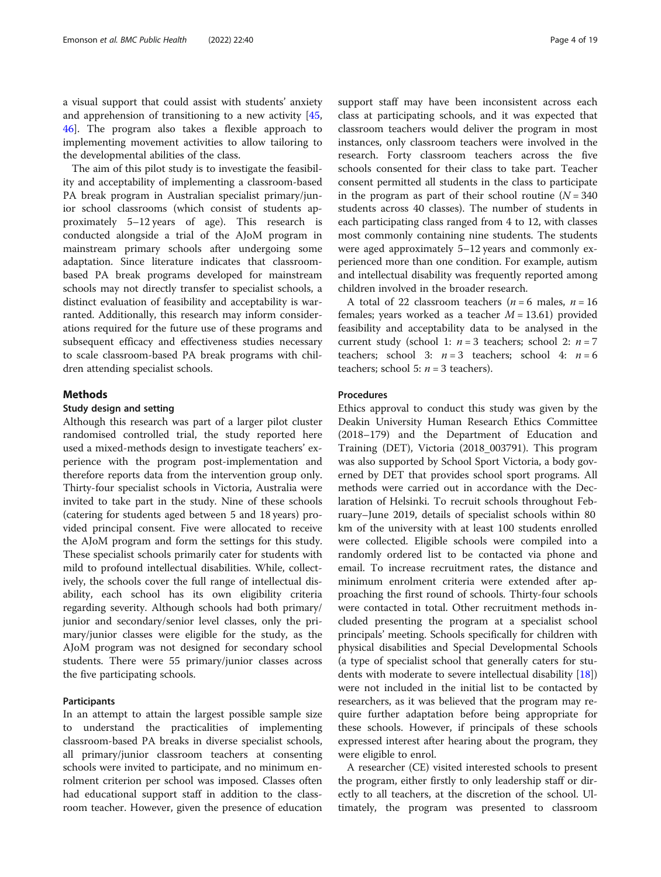a visual support that could assist with students' anxiety and apprehension of transitioning to a new activity [[45](#page-17-0), [46\]](#page-17-0). The program also takes a flexible approach to implementing movement activities to allow tailoring to the developmental abilities of the class.

The aim of this pilot study is to investigate the feasibility and acceptability of implementing a classroom-based PA break program in Australian specialist primary/junior school classrooms (which consist of students approximately 5–12 years of age). This research is conducted alongside a trial of the AJoM program in mainstream primary schools after undergoing some adaptation. Since literature indicates that classroombased PA break programs developed for mainstream schools may not directly transfer to specialist schools, a distinct evaluation of feasibility and acceptability is warranted. Additionally, this research may inform considerations required for the future use of these programs and subsequent efficacy and effectiveness studies necessary to scale classroom-based PA break programs with children attending specialist schools.

#### Methods

#### Study design and setting

Although this research was part of a larger pilot cluster randomised controlled trial, the study reported here used a mixed-methods design to investigate teachers' experience with the program post-implementation and therefore reports data from the intervention group only. Thirty-four specialist schools in Victoria, Australia were invited to take part in the study. Nine of these schools (catering for students aged between 5 and 18 years) provided principal consent. Five were allocated to receive the AJoM program and form the settings for this study. These specialist schools primarily cater for students with mild to profound intellectual disabilities. While, collectively, the schools cover the full range of intellectual disability, each school has its own eligibility criteria regarding severity. Although schools had both primary/ junior and secondary/senior level classes, only the primary/junior classes were eligible for the study, as the AJoM program was not designed for secondary school students. There were 55 primary/junior classes across the five participating schools.

#### Participants

In an attempt to attain the largest possible sample size to understand the practicalities of implementing classroom-based PA breaks in diverse specialist schools, all primary/junior classroom teachers at consenting schools were invited to participate, and no minimum enrolment criterion per school was imposed. Classes often had educational support staff in addition to the classroom teacher. However, given the presence of education support staff may have been inconsistent across each class at participating schools, and it was expected that classroom teachers would deliver the program in most instances, only classroom teachers were involved in the research. Forty classroom teachers across the five schools consented for their class to take part. Teacher consent permitted all students in the class to participate in the program as part of their school routine  $(N = 340)$ students across 40 classes). The number of students in each participating class ranged from 4 to 12, with classes most commonly containing nine students. The students were aged approximately 5–12 years and commonly experienced more than one condition. For example, autism and intellectual disability was frequently reported among children involved in the broader research.

A total of 22 classroom teachers ( $n = 6$  males,  $n = 16$ females; years worked as a teacher  $M = 13.61$ ) provided feasibility and acceptability data to be analysed in the current study (school 1:  $n = 3$  teachers; school 2:  $n = 7$ teachers; school 3:  $n = 3$  teachers; school 4:  $n = 6$ teachers; school 5:  $n = 3$  teachers).

#### Procedures

Ethics approval to conduct this study was given by the Deakin University Human Research Ethics Committee (2018–179) and the Department of Education and Training (DET), Victoria (2018\_003791). This program was also supported by School Sport Victoria, a body governed by DET that provides school sport programs. All methods were carried out in accordance with the Declaration of Helsinki. To recruit schools throughout February–June 2019, details of specialist schools within 80 km of the university with at least 100 students enrolled were collected. Eligible schools were compiled into a randomly ordered list to be contacted via phone and email. To increase recruitment rates, the distance and minimum enrolment criteria were extended after approaching the first round of schools. Thirty-four schools were contacted in total. Other recruitment methods included presenting the program at a specialist school principals' meeting. Schools specifically for children with physical disabilities and Special Developmental Schools (a type of specialist school that generally caters for students with moderate to severe intellectual disability [\[18](#page-17-0)]) were not included in the initial list to be contacted by researchers, as it was believed that the program may require further adaptation before being appropriate for these schools. However, if principals of these schools expressed interest after hearing about the program, they were eligible to enrol.

A researcher (CE) visited interested schools to present the program, either firstly to only leadership staff or directly to all teachers, at the discretion of the school. Ultimately, the program was presented to classroom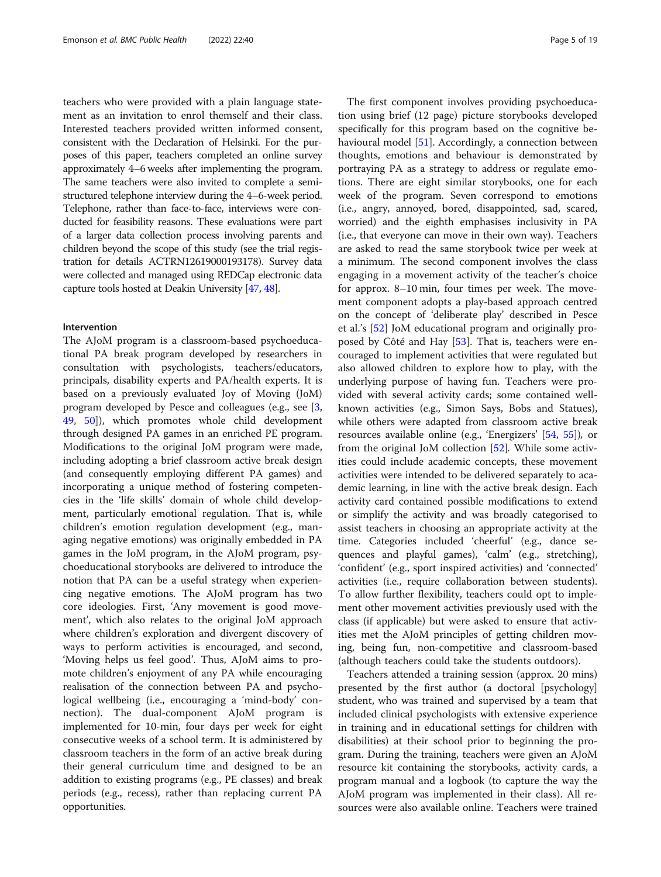teachers who were provided with a plain language statement as an invitation to enrol themself and their class. Interested teachers provided written informed consent, consistent with the Declaration of Helsinki. For the purposes of this paper, teachers completed an online survey approximately 4–6 weeks after implementing the program. The same teachers were also invited to complete a semistructured telephone interview during the 4–6-week period. Telephone, rather than face-to-face, interviews were conducted for feasibility reasons. These evaluations were part of a larger data collection process involving parents and children beyond the scope of this study (see the trial registration for details ACTRN12619000193178). Survey data were collected and managed using REDCap electronic data capture tools hosted at Deakin University [\[47](#page-17-0), [48\]](#page-17-0).

#### Intervention

The AJoM program is a classroom-based psychoeducational PA break program developed by researchers in consultation with psychologists, teachers/educators, principals, disability experts and PA/health experts. It is based on a previously evaluated Joy of Moving (JoM) program developed by Pesce and colleagues (e.g., see [\[3](#page-16-0), [49,](#page-17-0) [50\]](#page-17-0)), which promotes whole child development through designed PA games in an enriched PE program. Modifications to the original JoM program were made, including adopting a brief classroom active break design (and consequently employing different PA games) and incorporating a unique method of fostering competencies in the 'life skills' domain of whole child development, particularly emotional regulation. That is, while children's emotion regulation development (e.g., managing negative emotions) was originally embedded in PA games in the JoM program, in the AJoM program, psychoeducational storybooks are delivered to introduce the notion that PA can be a useful strategy when experiencing negative emotions. The AJoM program has two core ideologies. First, 'Any movement is good movement', which also relates to the original JoM approach where children's exploration and divergent discovery of ways to perform activities is encouraged, and second, 'Moving helps us feel good'. Thus, AJoM aims to promote children's enjoyment of any PA while encouraging realisation of the connection between PA and psychological wellbeing (i.e., encouraging a 'mind-body' connection). The dual-component AJoM program is implemented for 10-min, four days per week for eight consecutive weeks of a school term. It is administered by classroom teachers in the form of an active break during their general curriculum time and designed to be an addition to existing programs (e.g., PE classes) and break periods (e.g., recess), rather than replacing current PA opportunities.

The first component involves providing psychoeducation using brief (12 page) picture storybooks developed specifically for this program based on the cognitive behavioural model [[51\]](#page-17-0). Accordingly, a connection between thoughts, emotions and behaviour is demonstrated by portraying PA as a strategy to address or regulate emotions. There are eight similar storybooks, one for each week of the program. Seven correspond to emotions (i.e., angry, annoyed, bored, disappointed, sad, scared, worried) and the eighth emphasises inclusivity in PA (i.e., that everyone can move in their own way). Teachers are asked to read the same storybook twice per week at a minimum. The second component involves the class engaging in a movement activity of the teacher's choice for approx. 8–10 min, four times per week. The movement component adopts a play-based approach centred on the concept of 'deliberate play' described in Pesce et al.'s [[52\]](#page-17-0) JoM educational program and originally proposed by Côté and Hay [[53](#page-17-0)]. That is, teachers were encouraged to implement activities that were regulated but also allowed children to explore how to play, with the underlying purpose of having fun. Teachers were provided with several activity cards; some contained wellknown activities (e.g., Simon Says, Bobs and Statues), while others were adapted from classroom active break resources available online (e.g., 'Energizers' [[54](#page-17-0), [55](#page-17-0)]), or from the original JoM collection [[52\]](#page-17-0). While some activities could include academic concepts, these movement activities were intended to be delivered separately to academic learning, in line with the active break design. Each activity card contained possible modifications to extend or simplify the activity and was broadly categorised to assist teachers in choosing an appropriate activity at the time. Categories included 'cheerful' (e.g., dance sequences and playful games), 'calm' (e.g., stretching), 'confident' (e.g., sport inspired activities) and 'connected' activities (i.e., require collaboration between students). To allow further flexibility, teachers could opt to implement other movement activities previously used with the class (if applicable) but were asked to ensure that activities met the AJoM principles of getting children moving, being fun, non-competitive and classroom-based (although teachers could take the students outdoors).

Teachers attended a training session (approx. 20 mins) presented by the first author (a doctoral [psychology] student, who was trained and supervised by a team that included clinical psychologists with extensive experience in training and in educational settings for children with disabilities) at their school prior to beginning the program. During the training, teachers were given an AJoM resource kit containing the storybooks, activity cards, a program manual and a logbook (to capture the way the AJoM program was implemented in their class). All resources were also available online. Teachers were trained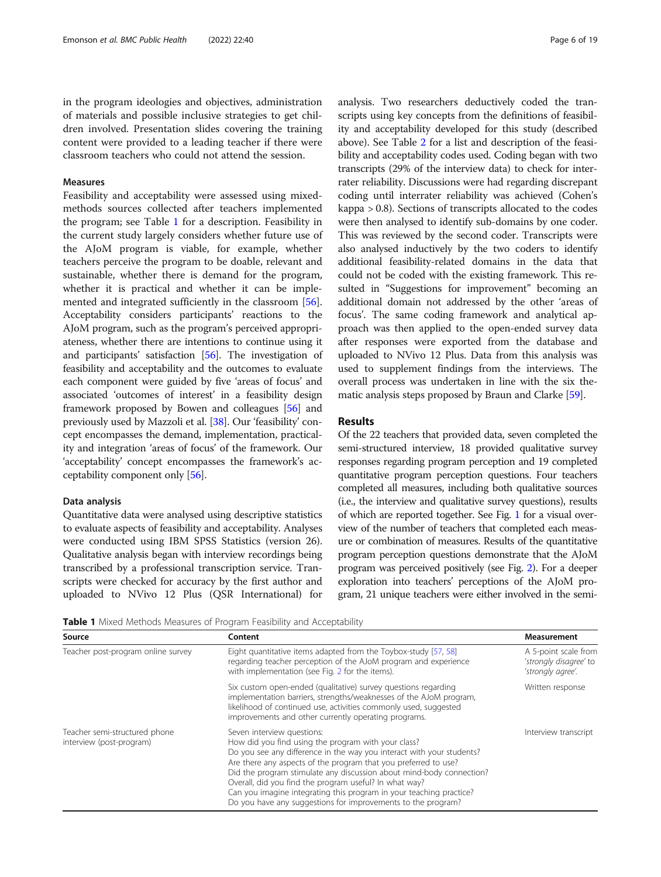in the program ideologies and objectives, administration of materials and possible inclusive strategies to get children involved. Presentation slides covering the training content were provided to a leading teacher if there were classroom teachers who could not attend the session.

#### Measures

Feasibility and acceptability were assessed using mixedmethods sources collected after teachers implemented the program; see Table 1 for a description. Feasibility in the current study largely considers whether future use of the AJoM program is viable, for example, whether teachers perceive the program to be doable, relevant and sustainable, whether there is demand for the program, whether it is practical and whether it can be implemented and integrated sufficiently in the classroom [\[56](#page-17-0)]. Acceptability considers participants' reactions to the AJoM program, such as the program's perceived appropriateness, whether there are intentions to continue using it and participants' satisfaction [[56](#page-17-0)]. The investigation of feasibility and acceptability and the outcomes to evaluate each component were guided by five 'areas of focus' and associated 'outcomes of interest' in a feasibility design framework proposed by Bowen and colleagues [[56](#page-17-0)] and previously used by Mazzoli et al. [\[38\]](#page-17-0). Our 'feasibility' concept encompasses the demand, implementation, practicality and integration 'areas of focus' of the framework. Our 'acceptability' concept encompasses the framework's acceptability component only [\[56](#page-17-0)].

#### Data analysis

Quantitative data were analysed using descriptive statistics to evaluate aspects of feasibility and acceptability. Analyses were conducted using IBM SPSS Statistics (version 26). Qualitative analysis began with interview recordings being transcribed by a professional transcription service. Transcripts were checked for accuracy by the first author and uploaded to NVivo 12 Plus (QSR International) for analysis. Two researchers deductively coded the transcripts using key concepts from the definitions of feasibility and acceptability developed for this study (described above). See Table [2](#page-6-0) for a list and description of the feasibility and acceptability codes used. Coding began with two transcripts (29% of the interview data) to check for interrater reliability. Discussions were had regarding discrepant coding until interrater reliability was achieved (Cohen's kappa > 0.8). Sections of transcripts allocated to the codes were then analysed to identify sub-domains by one coder. This was reviewed by the second coder. Transcripts were also analysed inductively by the two coders to identify additional feasibility-related domains in the data that could not be coded with the existing framework. This resulted in "Suggestions for improvement" becoming an additional domain not addressed by the other 'areas of focus'. The same coding framework and analytical approach was then applied to the open-ended survey data after responses were exported from the database and uploaded to NVivo 12 Plus. Data from this analysis was used to supplement findings from the interviews. The overall process was undertaken in line with the six thematic analysis steps proposed by Braun and Clarke [\[59\]](#page-18-0).

#### Results

Of the 22 teachers that provided data, seven completed the semi-structured interview, 18 provided qualitative survey responses regarding program perception and 19 completed quantitative program perception questions. Four teachers completed all measures, including both qualitative sources (i.e., the interview and qualitative survey questions), results of which are reported together. See Fig. [1](#page-6-0) for a visual overview of the number of teachers that completed each measure or combination of measures. Results of the quantitative program perception questions demonstrate that the AJoM program was perceived positively (see Fig. [2\)](#page-7-0). For a deeper exploration into teachers' perceptions of the AJoM program, 21 unique teachers were either involved in the semi-

Table 1 Mixed Methods Measures of Program Feasibility and Acceptability

| Source                                                    | Content                                                                                                                                                                                                                                                                                                                                                                                                                                                                                                | <b>Measurement</b>                                                  |
|-----------------------------------------------------------|--------------------------------------------------------------------------------------------------------------------------------------------------------------------------------------------------------------------------------------------------------------------------------------------------------------------------------------------------------------------------------------------------------------------------------------------------------------------------------------------------------|---------------------------------------------------------------------|
| Teacher post-program online survey                        | Eight quantitative items adapted from the Toybox-study [57, 58]<br>regarding teacher perception of the AJoM program and experience<br>with implementation (see Fig. 2 for the items).                                                                                                                                                                                                                                                                                                                  | A 5-point scale from<br>'strongly disagree' to<br>'strongly agree'. |
|                                                           | Six custom open-ended (qualitative) survey questions regarding<br>implementation barriers, strengths/weaknesses of the AJoM program,<br>likelihood of continued use, activities commonly used, suggested<br>improvements and other currently operating programs.                                                                                                                                                                                                                                       | Written response                                                    |
| Teacher semi-structured phone<br>interview (post-program) | Seven interview questions:<br>How did you find using the program with your class?<br>Do you see any difference in the way you interact with your students?<br>Are there any aspects of the program that you preferred to use?<br>Did the program stimulate any discussion about mind-body connection?<br>Overall, did you find the program useful? In what way?<br>Can you imagine integrating this program in your teaching practice?<br>Do you have any suggestions for improvements to the program? | Interview transcript                                                |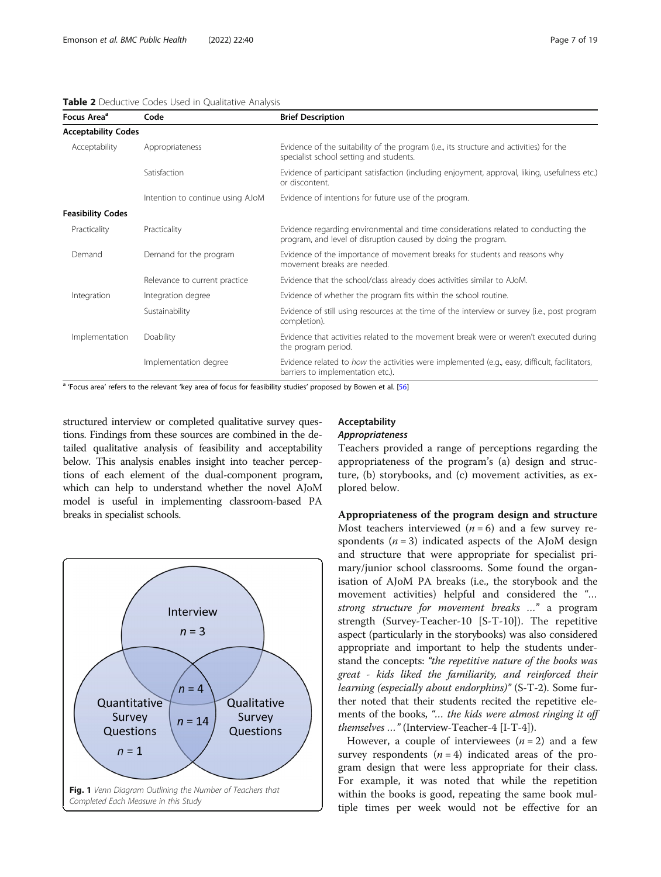<span id="page-6-0"></span>

|  |  |  |  |  |  | Table 2 Deductive Codes Used in Qualitative Analysis |  |
|--|--|--|--|--|--|------------------------------------------------------|--|
|--|--|--|--|--|--|------------------------------------------------------|--|

| Focus Area <sup>a</sup>    | Code                             | <b>Brief Description</b>                                                                                                                            |
|----------------------------|----------------------------------|-----------------------------------------------------------------------------------------------------------------------------------------------------|
| <b>Acceptability Codes</b> |                                  |                                                                                                                                                     |
| Acceptability              | Appropriateness                  | Evidence of the suitability of the program (i.e., its structure and activities) for the<br>specialist school setting and students.                  |
|                            | Satisfaction                     | Evidence of participant satisfaction (including enjoyment, approval, liking, usefulness etc.)<br>or discontent.                                     |
|                            | Intention to continue using AJoM | Evidence of intentions for future use of the program.                                                                                               |
| <b>Feasibility Codes</b>   |                                  |                                                                                                                                                     |
| Practicality               | Practicality                     | Evidence regarding environmental and time considerations related to conducting the<br>program, and level of disruption caused by doing the program. |
| Demand                     | Demand for the program           | Evidence of the importance of movement breaks for students and reasons why<br>movement breaks are needed.                                           |
|                            | Relevance to current practice    | Evidence that the school/class already does activities similar to AJoM.                                                                             |
| Integration                | Integration degree               | Evidence of whether the program fits within the school routine.                                                                                     |
|                            | Sustainability                   | Evidence of still using resources at the time of the interview or survey (i.e., post program<br>completion).                                        |
| Implementation             | Doability                        | Evidence that activities related to the movement break were or weren't executed during<br>the program period.                                       |
|                            | Implementation degree            | Evidence related to how the activities were implemented (e.g., easy, difficult, facilitators,<br>barriers to implementation etc.).                  |

<sup>a</sup> 'Focus area' refers to the relevant 'key area of focus for feasibility studies' proposed by Bowen et al. [[56\]](#page-17-0)

structured interview or completed qualitative survey questions. Findings from these sources are combined in the detailed qualitative analysis of feasibility and acceptability below. This analysis enables insight into teacher perceptions of each element of the dual-component program, which can help to understand whether the novel AJoM model is useful in implementing classroom-based PA breaks in specialist schools.



#### Acceptability Appropriateness

Teachers provided a range of perceptions regarding the appropriateness of the program's (a) design and structure, (b) storybooks, and (c) movement activities, as explored below.

Appropriateness of the program design and structure Most teachers interviewed  $(n = 6)$  and a few survey respondents  $(n = 3)$  indicated aspects of the AJoM design and structure that were appropriate for specialist primary/junior school classrooms. Some found the organisation of AJoM PA breaks (i.e., the storybook and the movement activities) helpful and considered the "… strong structure for movement breaks …" a program strength (Survey-Teacher-10 [S-T-10]). The repetitive aspect (particularly in the storybooks) was also considered appropriate and important to help the students understand the concepts: "the repetitive nature of the books was great - kids liked the familiarity, and reinforced their learning (especially about endorphins)" (S-T-2). Some further noted that their students recited the repetitive elements of the books, "… the kids were almost ringing it off themselves …" (Interview-Teacher-4 [I-T-4]).

However, a couple of interviewees  $(n = 2)$  and a few survey respondents  $(n = 4)$  indicated areas of the program design that were less appropriate for their class. For example, it was noted that while the repetition within the books is good, repeating the same book multiple times per week would not be effective for an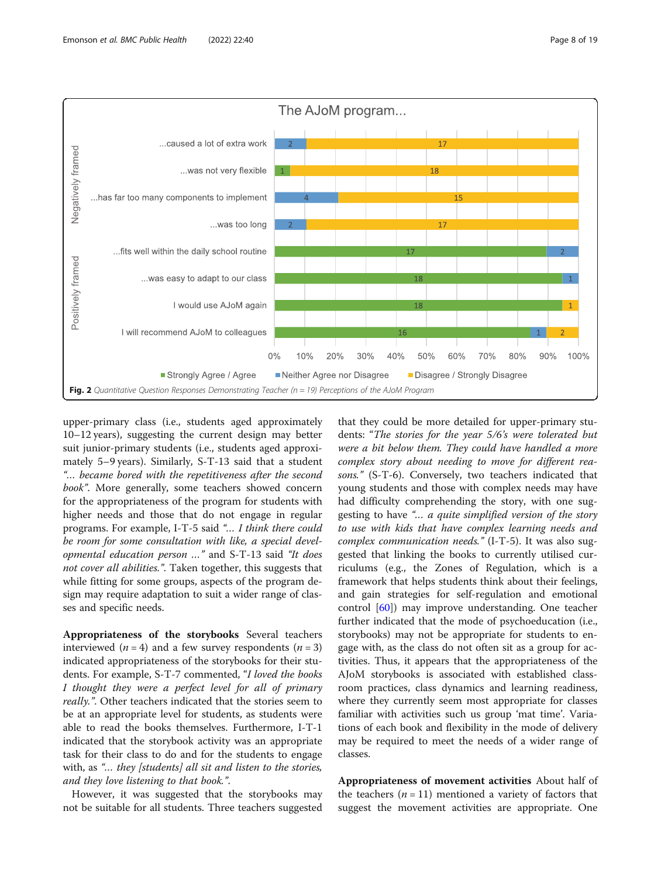<span id="page-7-0"></span>

upper-primary class (i.e., students aged approximately 10–12 years), suggesting the current design may better suit junior-primary students (i.e., students aged approximately 5–9 years). Similarly, S-T-13 said that a student "… became bored with the repetitiveness after the second book". More generally, some teachers showed concern for the appropriateness of the program for students with higher needs and those that do not engage in regular programs. For example, I-T-5 said "… I think there could be room for some consultation with like, a special developmental education person …" and S-T-13 said "It does not cover all abilities.". Taken together, this suggests that while fitting for some groups, aspects of the program design may require adaptation to suit a wider range of classes and specific needs.

Appropriateness of the storybooks Several teachers interviewed ( $n = 4$ ) and a few survey respondents ( $n = 3$ ) indicated appropriateness of the storybooks for their students. For example, S-T-7 commented, "I loved the books I thought they were a perfect level for all of primary really.". Other teachers indicated that the stories seem to be at an appropriate level for students, as students were able to read the books themselves. Furthermore, I-T-1 indicated that the storybook activity was an appropriate task for their class to do and for the students to engage with, as "... they [students] all sit and listen to the stories, and they love listening to that book.".

However, it was suggested that the storybooks may not be suitable for all students. Three teachers suggested

that they could be more detailed for upper-primary students: "The stories for the year 5/6's were tolerated but were a bit below them. They could have handled a more complex story about needing to move for different reasons." (S-T-6). Conversely, two teachers indicated that young students and those with complex needs may have had difficulty comprehending the story, with one suggesting to have "… a quite simplified version of the story to use with kids that have complex learning needs and complex communication needs." (I-T-5). It was also suggested that linking the books to currently utilised curriculums (e.g., the Zones of Regulation, which is a framework that helps students think about their feelings, and gain strategies for self-regulation and emotional control [[60\]](#page-18-0)) may improve understanding. One teacher further indicated that the mode of psychoeducation (i.e., storybooks) may not be appropriate for students to engage with, as the class do not often sit as a group for activities. Thus, it appears that the appropriateness of the AJoM storybooks is associated with established classroom practices, class dynamics and learning readiness, where they currently seem most appropriate for classes familiar with activities such us group 'mat time'. Variations of each book and flexibility in the mode of delivery may be required to meet the needs of a wider range of classes.

Appropriateness of movement activities About half of the teachers  $(n = 11)$  mentioned a variety of factors that suggest the movement activities are appropriate. One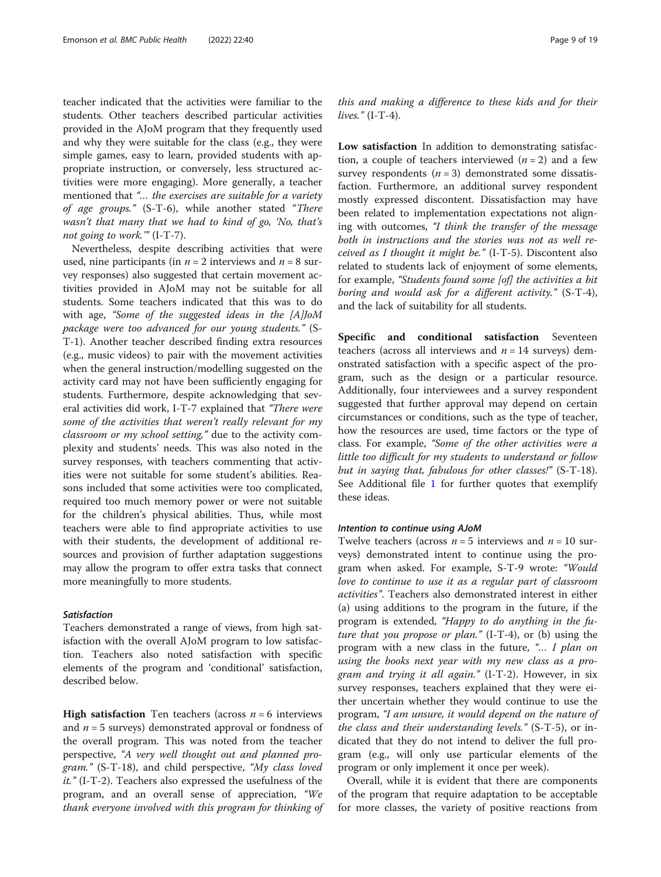teacher indicated that the activities were familiar to the students. Other teachers described particular activities provided in the AJoM program that they frequently used and why they were suitable for the class (e.g., they were simple games, easy to learn, provided students with appropriate instruction, or conversely, less structured activities were more engaging). More generally, a teacher mentioned that "… the exercises are suitable for a variety of age groups." (S-T-6), while another stated "There wasn't that many that we had to kind of go, 'No, that's not going to work.'" (I-T-7).

Nevertheless, despite describing activities that were used, nine participants (in  $n = 2$  interviews and  $n = 8$  survey responses) also suggested that certain movement activities provided in AJoM may not be suitable for all students. Some teachers indicated that this was to do with age, "Some of the suggested ideas in the [A]JoM package were too advanced for our young students." (S-T-1). Another teacher described finding extra resources (e.g., music videos) to pair with the movement activities when the general instruction/modelling suggested on the activity card may not have been sufficiently engaging for students. Furthermore, despite acknowledging that several activities did work, I-T-7 explained that "There were some of the activities that weren't really relevant for my classroom or my school setting," due to the activity complexity and students' needs. This was also noted in the survey responses, with teachers commenting that activities were not suitable for some student's abilities. Reasons included that some activities were too complicated, required too much memory power or were not suitable for the children's physical abilities. Thus, while most teachers were able to find appropriate activities to use with their students, the development of additional resources and provision of further adaptation suggestions may allow the program to offer extra tasks that connect more meaningfully to more students.

#### **Satisfaction**

Teachers demonstrated a range of views, from high satisfaction with the overall AJoM program to low satisfaction. Teachers also noted satisfaction with specific elements of the program and 'conditional' satisfaction, described below.

**High satisfaction** Ten teachers (across  $n = 6$  interviews and  $n = 5$  surveys) demonstrated approval or fondness of the overall program. This was noted from the teacher perspective, "A very well thought out and planned program." (S-T-18), and child perspective, "My class loved it." (I-T-2). Teachers also expressed the usefulness of the program, and an overall sense of appreciation, "We thank everyone involved with this program for thinking of

this and making a difference to these kids and for their lives."  $(I-T-4)$ .

Low satisfaction In addition to demonstrating satisfaction, a couple of teachers interviewed  $(n = 2)$  and a few survey respondents  $(n = 3)$  demonstrated some dissatisfaction. Furthermore, an additional survey respondent mostly expressed discontent. Dissatisfaction may have been related to implementation expectations not aligning with outcomes, "I think the transfer of the message both in instructions and the stories was not as well received as I thought it might be." (I-T-5). Discontent also related to students lack of enjoyment of some elements, for example, "Students found some [of] the activities a bit boring and would ask for a different activity." (S-T-4), and the lack of suitability for all students.

Specific and conditional satisfaction Seventeen teachers (across all interviews and  $n = 14$  surveys) demonstrated satisfaction with a specific aspect of the program, such as the design or a particular resource. Additionally, four interviewees and a survey respondent suggested that further approval may depend on certain circumstances or conditions, such as the type of teacher, how the resources are used, time factors or the type of class. For example, "Some of the other activities were a little too difficult for my students to understand or follow but in saying that, fabulous for other classes!" (S-T-18). See Additional file [1](#page-16-0) for further quotes that exemplify these ideas.

#### Intention to continue using AJoM

Twelve teachers (across  $n = 5$  interviews and  $n = 10$  surveys) demonstrated intent to continue using the program when asked. For example, S-T-9 wrote: "Would love to continue to use it as a regular part of classroom activities". Teachers also demonstrated interest in either (a) using additions to the program in the future, if the program is extended, "Happy to do anything in the future that you propose or plan." (I-T-4), or (b) using the program with a new class in the future, "… I plan on using the books next year with my new class as a program and trying it all again." (I-T-2). However, in six survey responses, teachers explained that they were either uncertain whether they would continue to use the program, "I am unsure, it would depend on the nature of the class and their understanding levels." (S-T-5), or indicated that they do not intend to deliver the full program (e.g., will only use particular elements of the program or only implement it once per week).

Overall, while it is evident that there are components of the program that require adaptation to be acceptable for more classes, the variety of positive reactions from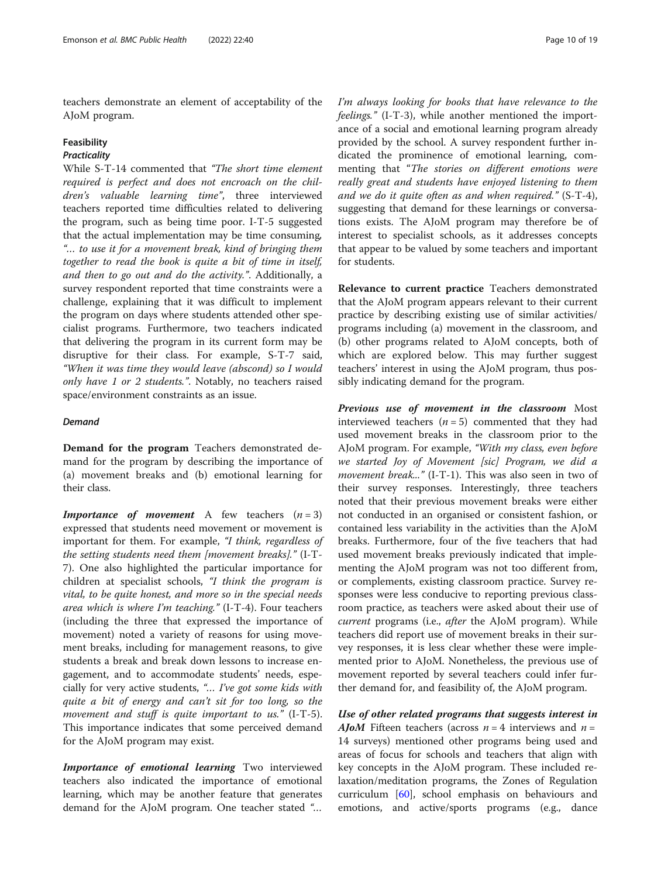teachers demonstrate an element of acceptability of the AJoM program.

#### Feasibility

#### **Practicality**

While S-T-14 commented that "The short time element required is perfect and does not encroach on the children's valuable learning time", three interviewed teachers reported time difficulties related to delivering the program, such as being time poor. I-T-5 suggested that the actual implementation may be time consuming, "… to use it for a movement break, kind of bringing them together to read the book is quite a bit of time in itself, and then to go out and do the activity.". Additionally, a survey respondent reported that time constraints were a challenge, explaining that it was difficult to implement the program on days where students attended other specialist programs. Furthermore, two teachers indicated that delivering the program in its current form may be disruptive for their class. For example, S-T-7 said, "When it was time they would leave (abscond) so I would only have 1 or 2 students.". Notably, no teachers raised space/environment constraints as an issue.

#### Demand

Demand for the program Teachers demonstrated demand for the program by describing the importance of (a) movement breaks and (b) emotional learning for their class.

**Importance of movement** A few teachers  $(n = 3)$ expressed that students need movement or movement is important for them. For example, "I think, regardless of the setting students need them [movement breaks]." (I-T-7). One also highlighted the particular importance for children at specialist schools, "I think the program is vital, to be quite honest, and more so in the special needs area which is where I'm teaching." (I-T-4). Four teachers (including the three that expressed the importance of movement) noted a variety of reasons for using movement breaks, including for management reasons, to give students a break and break down lessons to increase engagement, and to accommodate students' needs, especially for very active students, "... I've got some kids with quite a bit of energy and can't sit for too long, so the movement and stuff is quite important to us."  $(I-T-5)$ . This importance indicates that some perceived demand for the AJoM program may exist.

Importance of emotional learning Two interviewed teachers also indicated the importance of emotional learning, which may be another feature that generates demand for the AJoM program. One teacher stated "…

I'm always looking for books that have relevance to the feelings." (I-T-3), while another mentioned the importance of a social and emotional learning program already provided by the school. A survey respondent further indicated the prominence of emotional learning, commenting that "The stories on different emotions were really great and students have enjoyed listening to them and we do it quite often as and when required." (S-T-4), suggesting that demand for these learnings or conversations exists. The AJoM program may therefore be of interest to specialist schools, as it addresses concepts that appear to be valued by some teachers and important for students.

Relevance to current practice Teachers demonstrated that the AJoM program appears relevant to their current practice by describing existing use of similar activities/ programs including (a) movement in the classroom, and (b) other programs related to AJoM concepts, both of which are explored below. This may further suggest teachers' interest in using the AJoM program, thus possibly indicating demand for the program.

Previous use of movement in the classroom Most interviewed teachers  $(n = 5)$  commented that they had used movement breaks in the classroom prior to the AJoM program. For example, "With my class, even before we started Joy of Movement [sic] Program, we did a movement break..." (I-T-1). This was also seen in two of their survey responses. Interestingly, three teachers noted that their previous movement breaks were either not conducted in an organised or consistent fashion, or contained less variability in the activities than the AJoM breaks. Furthermore, four of the five teachers that had used movement breaks previously indicated that implementing the AJoM program was not too different from, or complements, existing classroom practice. Survey responses were less conducive to reporting previous classroom practice, as teachers were asked about their use of current programs (i.e., after the AJoM program). While teachers did report use of movement breaks in their survey responses, it is less clear whether these were implemented prior to AJoM. Nonetheless, the previous use of movement reported by several teachers could infer further demand for, and feasibility of, the AJoM program.

Use of other related programs that suggests interest in **AJoM** Fifteen teachers (across  $n = 4$  interviews and  $n =$ 14 surveys) mentioned other programs being used and areas of focus for schools and teachers that align with key concepts in the AJoM program. These included relaxation/meditation programs, the Zones of Regulation curriculum [\[60](#page-18-0)], school emphasis on behaviours and emotions, and active/sports programs (e.g., dance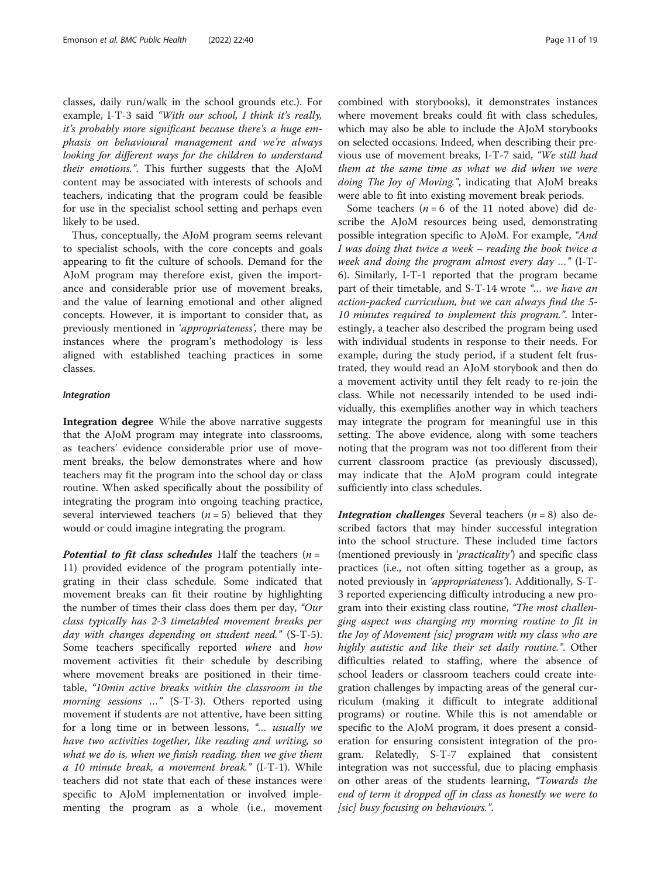classes, daily run/walk in the school grounds etc.). For example, I-T-3 said "With our school, I think it's really, it's probably more significant because there's a huge emphasis on behavioural management and we're always looking for different ways for the children to understand their emotions.". This further suggests that the AJoM content may be associated with interests of schools and teachers, indicating that the program could be feasible for use in the specialist school setting and perhaps even likely to be used.

Thus, conceptually, the AJoM program seems relevant to specialist schools, with the core concepts and goals appearing to fit the culture of schools. Demand for the AJoM program may therefore exist, given the importance and considerable prior use of movement breaks, and the value of learning emotional and other aligned concepts. However, it is important to consider that, as previously mentioned in 'appropriateness', there may be instances where the program's methodology is less aligned with established teaching practices in some classes.

#### Integration

Integration degree While the above narrative suggests that the AJoM program may integrate into classrooms, as teachers' evidence considerable prior use of movement breaks, the below demonstrates where and how teachers may fit the program into the school day or class routine. When asked specifically about the possibility of integrating the program into ongoing teaching practice, several interviewed teachers  $(n = 5)$  believed that they would or could imagine integrating the program.

**Potential to fit class schedules** Half the teachers  $(n =$ 11) provided evidence of the program potentially integrating in their class schedule. Some indicated that movement breaks can fit their routine by highlighting the number of times their class does them per day, "Our class typically has 2-3 timetabled movement breaks per day with changes depending on student need." (S-T-5). Some teachers specifically reported where and how movement activities fit their schedule by describing where movement breaks are positioned in their timetable, "10min active breaks within the classroom in the morning sessions ..." (S-T-3). Others reported using movement if students are not attentive, have been sitting for a long time or in between lessons, "… usually we have two activities together, like reading and writing, so what we do is, when we finish reading, then we give them a 10 minute break, a movement break." (I-T-1). While teachers did not state that each of these instances were specific to AJoM implementation or involved implementing the program as a whole (i.e., movement

combined with storybooks), it demonstrates instances where movement breaks could fit with class schedules, which may also be able to include the AJoM storybooks on selected occasions. Indeed, when describing their previous use of movement breaks, I-T-7 said, "We still had them at the same time as what we did when we were doing The Joy of Moving.", indicating that AJoM breaks were able to fit into existing movement break periods.

Some teachers ( $n = 6$  of the 11 noted above) did describe the AJoM resources being used, demonstrating possible integration specific to AJoM. For example, "And I was doing that twice a week – reading the book twice a week and doing the program almost every day …" (I-T-6). Similarly, I-T-1 reported that the program became part of their timetable, and S-T-14 wrote "… we have an action-packed curriculum, but we can always find the 5- 10 minutes required to implement this program.". Interestingly, a teacher also described the program being used with individual students in response to their needs. For example, during the study period, if a student felt frustrated, they would read an AJoM storybook and then do a movement activity until they felt ready to re-join the class. While not necessarily intended to be used individually, this exemplifies another way in which teachers may integrate the program for meaningful use in this setting. The above evidence, along with some teachers noting that the program was not too different from their current classroom practice (as previously discussed), may indicate that the AJoM program could integrate sufficiently into class schedules.

**Integration challenges** Several teachers ( $n = 8$ ) also described factors that may hinder successful integration into the school structure. These included time factors (mentioned previously in '*practicality*') and specific class practices (i.e., not often sitting together as a group, as noted previously in 'appropriateness'). Additionally, S-T-3 reported experiencing difficulty introducing a new program into their existing class routine, "The most challenging aspect was changing my morning routine to fit in the Joy of Movement [sic] program with my class who are highly autistic and like their set daily routine.". Other difficulties related to staffing, where the absence of school leaders or classroom teachers could create integration challenges by impacting areas of the general curriculum (making it difficult to integrate additional programs) or routine. While this is not amendable or specific to the AJoM program, it does present a consideration for ensuring consistent integration of the program. Relatedly, S-T-7 explained that consistent integration was not successful, due to placing emphasis on other areas of the students learning, "Towards the end of term it dropped off in class as honestly we were to [sic] busy focusing on behaviours.".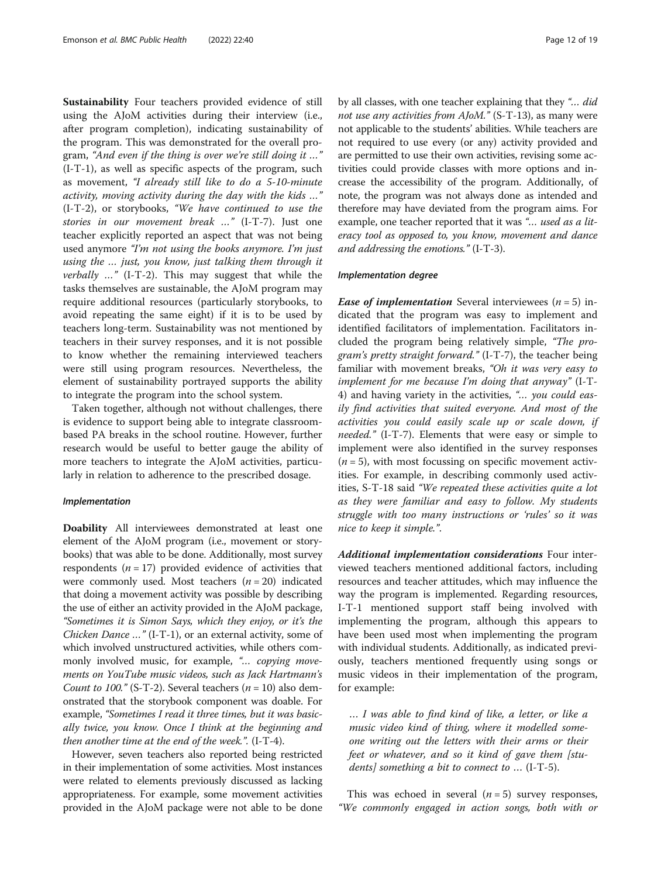Sustainability Four teachers provided evidence of still using the AJoM activities during their interview (i.e., after program completion), indicating sustainability of the program. This was demonstrated for the overall program, "And even if the thing is over we're still doing it …" (I-T-1), as well as specific aspects of the program, such as movement, "I already still like to do a 5-10-minute activity, moving activity during the day with the kids …" (I-T-2), or storybooks, "We have continued to use the stories in our movement break …" (I-T-7). Just one teacher explicitly reported an aspect that was not being used anymore "I'm not using the books anymore. I'm just using the … just, you know, just talking them through it verbally …" (I-T-2). This may suggest that while the tasks themselves are sustainable, the AJoM program may require additional resources (particularly storybooks, to avoid repeating the same eight) if it is to be used by teachers long-term. Sustainability was not mentioned by teachers in their survey responses, and it is not possible to know whether the remaining interviewed teachers were still using program resources. Nevertheless, the element of sustainability portrayed supports the ability to integrate the program into the school system.

Taken together, although not without challenges, there is evidence to support being able to integrate classroombased PA breaks in the school routine. However, further research would be useful to better gauge the ability of more teachers to integrate the AJoM activities, particularly in relation to adherence to the prescribed dosage.

#### Implementation

Doability All interviewees demonstrated at least one element of the AJoM program (i.e., movement or storybooks) that was able to be done. Additionally, most survey respondents ( $n = 17$ ) provided evidence of activities that were commonly used. Most teachers  $(n = 20)$  indicated that doing a movement activity was possible by describing the use of either an activity provided in the AJoM package, "Sometimes it is Simon Says, which they enjoy, or it's the Chicken Dance …" (I-T-1), or an external activity, some of which involved unstructured activities, while others commonly involved music, for example, "... copying movements on YouTube music videos, such as Jack Hartmann's Count to 100." (S-T-2). Several teachers ( $n = 10$ ) also demonstrated that the storybook component was doable. For example, "Sometimes I read it three times, but it was basically twice, you know. Once I think at the beginning and then another time at the end of the week.".  $(I-T-4)$ .

However, seven teachers also reported being restricted in their implementation of some activities. Most instances were related to elements previously discussed as lacking appropriateness. For example, some movement activities provided in the AJoM package were not able to be done by all classes, with one teacher explaining that they "… did not use any activities from AJoM." (S-T-13), as many were not applicable to the students' abilities. While teachers are not required to use every (or any) activity provided and are permitted to use their own activities, revising some activities could provide classes with more options and increase the accessibility of the program. Additionally, of note, the program was not always done as intended and therefore may have deviated from the program aims. For example, one teacher reported that it was "... used as a literacy tool as opposed to, you know, movement and dance and addressing the emotions." (I-T-3).

#### Implementation degree

**Ease of implementation** Several interviewees  $(n = 5)$  indicated that the program was easy to implement and identified facilitators of implementation. Facilitators included the program being relatively simple, "The program's pretty straight forward." (I-T-7), the teacher being familiar with movement breaks, "Oh it was very easy to implement for me because I'm doing that anyway" (I-T-4) and having variety in the activities, "... you could easily find activities that suited everyone. And most of the activities you could easily scale up or scale down, if needed." (I-T-7). Elements that were easy or simple to implement were also identified in the survey responses  $(n = 5)$ , with most focussing on specific movement activities. For example, in describing commonly used activities, S-T-18 said "We repeated these activities quite a lot as they were familiar and easy to follow. My students struggle with too many instructions or 'rules' so it was nice to keep it simple.".

Additional implementation considerations Four interviewed teachers mentioned additional factors, including resources and teacher attitudes, which may influence the way the program is implemented. Regarding resources, I-T-1 mentioned support staff being involved with implementing the program, although this appears to have been used most when implementing the program with individual students. Additionally, as indicated previously, teachers mentioned frequently using songs or music videos in their implementation of the program, for example:

… I was able to find kind of like, a letter, or like a music video kind of thing, where it modelled someone writing out the letters with their arms or their feet or whatever, and so it kind of gave them [students] something a bit to connect to … (I-T-5).

This was echoed in several  $(n = 5)$  survey responses, "We commonly engaged in action songs, both with or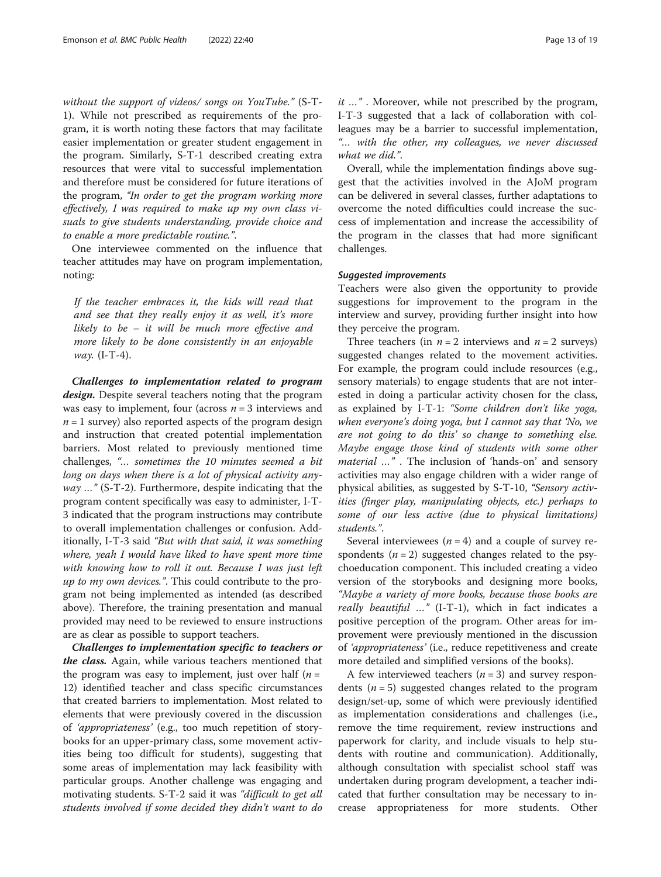without the support of videos/ songs on YouTube." (S-T-1). While not prescribed as requirements of the program, it is worth noting these factors that may facilitate easier implementation or greater student engagement in the program. Similarly, S-T-1 described creating extra resources that were vital to successful implementation and therefore must be considered for future iterations of the program, "In order to get the program working more effectively, I was required to make up my own class visuals to give students understanding, provide choice and to enable a more predictable routine.".

One interviewee commented on the influence that teacher attitudes may have on program implementation, noting:

If the teacher embraces it, the kids will read that and see that they really enjoy it as well, it's more likely to be – it will be much more effective and more likely to be done consistently in an enjoyable way.  $(I-T-4)$ .

Challenges to implementation related to program design. Despite several teachers noting that the program was easy to implement, four (across  $n = 3$  interviews and  $n = 1$  survey) also reported aspects of the program design and instruction that created potential implementation barriers. Most related to previously mentioned time challenges, "… sometimes the 10 minutes seemed a bit long on days when there is a lot of physical activity any $way ...$ " (S-T-2). Furthermore, despite indicating that the program content specifically was easy to administer, I-T-3 indicated that the program instructions may contribute to overall implementation challenges or confusion. Additionally, I-T-3 said "But with that said, it was something where, yeah I would have liked to have spent more time with knowing how to roll it out. Because I was just left up to my own devices.". This could contribute to the program not being implemented as intended (as described above). Therefore, the training presentation and manual provided may need to be reviewed to ensure instructions are as clear as possible to support teachers.

Challenges to implementation specific to teachers or the class. Again, while various teachers mentioned that the program was easy to implement, just over half  $(n =$ 12) identified teacher and class specific circumstances that created barriers to implementation. Most related to elements that were previously covered in the discussion of 'appropriateness' (e.g., too much repetition of storybooks for an upper-primary class, some movement activities being too difficult for students), suggesting that some areas of implementation may lack feasibility with particular groups. Another challenge was engaging and motivating students. S-T-2 said it was "difficult to get all students involved if some decided they didn't want to do it …" . Moreover, while not prescribed by the program, I-T-3 suggested that a lack of collaboration with colleagues may be a barrier to successful implementation, "… with the other, my colleagues, we never discussed what we did.".

Overall, while the implementation findings above suggest that the activities involved in the AJoM program can be delivered in several classes, further adaptations to overcome the noted difficulties could increase the success of implementation and increase the accessibility of the program in the classes that had more significant challenges.

#### Suggested improvements

Teachers were also given the opportunity to provide suggestions for improvement to the program in the interview and survey, providing further insight into how they perceive the program.

Three teachers (in  $n = 2$  interviews and  $n = 2$  surveys) suggested changes related to the movement activities. For example, the program could include resources (e.g., sensory materials) to engage students that are not interested in doing a particular activity chosen for the class, as explained by I-T-1: "Some children don't like yoga, when everyone's doing yoga, but I cannot say that 'No, we are not going to do this' so change to something else. Maybe engage those kind of students with some other material ...". The inclusion of 'hands-on' and sensory activities may also engage children with a wider range of physical abilities, as suggested by S-T-10, "Sensory activities (finger play, manipulating objects, etc.) perhaps to some of our less active (due to physical limitations) students.".

Several interviewees ( $n = 4$ ) and a couple of survey respondents  $(n = 2)$  suggested changes related to the psychoeducation component. This included creating a video version of the storybooks and designing more books, "Maybe a variety of more books, because those books are really beautiful ..." (I-T-1), which in fact indicates a positive perception of the program. Other areas for improvement were previously mentioned in the discussion of 'appropriateness' (i.e., reduce repetitiveness and create more detailed and simplified versions of the books).

A few interviewed teachers  $(n = 3)$  and survey respondents ( $n = 5$ ) suggested changes related to the program design/set-up, some of which were previously identified as implementation considerations and challenges (i.e., remove the time requirement, review instructions and paperwork for clarity, and include visuals to help students with routine and communication). Additionally, although consultation with specialist school staff was undertaken during program development, a teacher indicated that further consultation may be necessary to increase appropriateness for more students. Other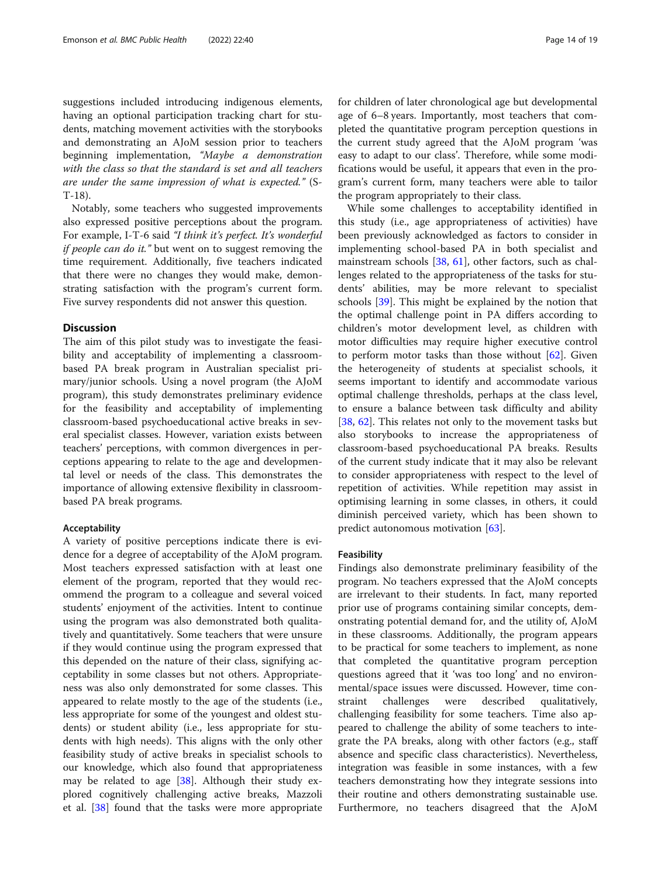suggestions included introducing indigenous elements, having an optional participation tracking chart for students, matching movement activities with the storybooks and demonstrating an AJoM session prior to teachers beginning implementation, "Maybe a demonstration with the class so that the standard is set and all teachers are under the same impression of what is expected." (S-T-18).

Notably, some teachers who suggested improvements also expressed positive perceptions about the program. For example, I-T-6 said "I think it's perfect. It's wonderful if people can do it." but went on to suggest removing the time requirement. Additionally, five teachers indicated that there were no changes they would make, demonstrating satisfaction with the program's current form. Five survey respondents did not answer this question.

#### **Discussion**

The aim of this pilot study was to investigate the feasibility and acceptability of implementing a classroombased PA break program in Australian specialist primary/junior schools. Using a novel program (the AJoM program), this study demonstrates preliminary evidence for the feasibility and acceptability of implementing classroom-based psychoeducational active breaks in several specialist classes. However, variation exists between teachers' perceptions, with common divergences in perceptions appearing to relate to the age and developmental level or needs of the class. This demonstrates the importance of allowing extensive flexibility in classroombased PA break programs.

#### Acceptability

A variety of positive perceptions indicate there is evidence for a degree of acceptability of the AJoM program. Most teachers expressed satisfaction with at least one element of the program, reported that they would recommend the program to a colleague and several voiced students' enjoyment of the activities. Intent to continue using the program was also demonstrated both qualitatively and quantitatively. Some teachers that were unsure if they would continue using the program expressed that this depended on the nature of their class, signifying acceptability in some classes but not others. Appropriateness was also only demonstrated for some classes. This appeared to relate mostly to the age of the students (i.e., less appropriate for some of the youngest and oldest students) or student ability (i.e., less appropriate for students with high needs). This aligns with the only other feasibility study of active breaks in specialist schools to our knowledge, which also found that appropriateness may be related to age [\[38](#page-17-0)]. Although their study explored cognitively challenging active breaks, Mazzoli et al. [\[38](#page-17-0)] found that the tasks were more appropriate for children of later chronological age but developmental age of 6–8 years. Importantly, most teachers that completed the quantitative program perception questions in the current study agreed that the AJoM program 'was easy to adapt to our class'. Therefore, while some modifications would be useful, it appears that even in the program's current form, many teachers were able to tailor the program appropriately to their class.

While some challenges to acceptability identified in this study (i.e., age appropriateness of activities) have been previously acknowledged as factors to consider in implementing school-based PA in both specialist and mainstream schools [[38,](#page-17-0) [61\]](#page-18-0), other factors, such as challenges related to the appropriateness of the tasks for students' abilities, may be more relevant to specialist schools [\[39](#page-17-0)]. This might be explained by the notion that the optimal challenge point in PA differs according to children's motor development level, as children with motor difficulties may require higher executive control to perform motor tasks than those without  $[62]$ . Given the heterogeneity of students at specialist schools, it seems important to identify and accommodate various optimal challenge thresholds, perhaps at the class level, to ensure a balance between task difficulty and ability [[38,](#page-17-0) [62\]](#page-18-0). This relates not only to the movement tasks but also storybooks to increase the appropriateness of classroom-based psychoeducational PA breaks. Results of the current study indicate that it may also be relevant to consider appropriateness with respect to the level of repetition of activities. While repetition may assist in optimising learning in some classes, in others, it could diminish perceived variety, which has been shown to predict autonomous motivation [\[63](#page-18-0)].

#### Feasibility

Findings also demonstrate preliminary feasibility of the program. No teachers expressed that the AJoM concepts are irrelevant to their students. In fact, many reported prior use of programs containing similar concepts, demonstrating potential demand for, and the utility of, AJoM in these classrooms. Additionally, the program appears to be practical for some teachers to implement, as none that completed the quantitative program perception questions agreed that it 'was too long' and no environmental/space issues were discussed. However, time constraint challenges were described qualitatively, challenging feasibility for some teachers. Time also appeared to challenge the ability of some teachers to integrate the PA breaks, along with other factors (e.g., staff absence and specific class characteristics). Nevertheless, integration was feasible in some instances, with a few teachers demonstrating how they integrate sessions into their routine and others demonstrating sustainable use. Furthermore, no teachers disagreed that the AJoM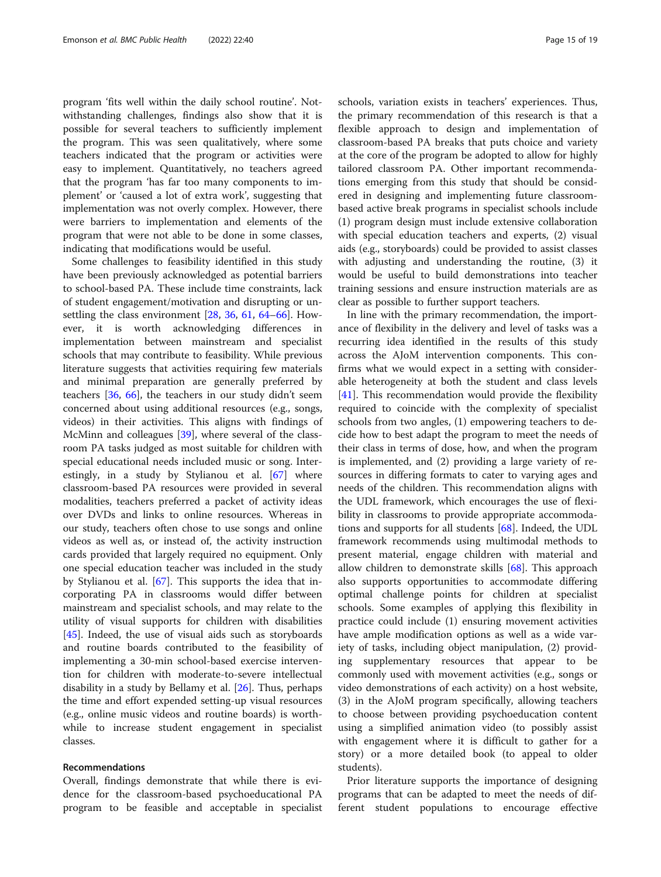program 'fits well within the daily school routine'. Notwithstanding challenges, findings also show that it is possible for several teachers to sufficiently implement the program. This was seen qualitatively, where some teachers indicated that the program or activities were easy to implement. Quantitatively, no teachers agreed that the program 'has far too many components to implement' or 'caused a lot of extra work', suggesting that implementation was not overly complex. However, there were barriers to implementation and elements of the program that were not able to be done in some classes, indicating that modifications would be useful.

Some challenges to feasibility identified in this study have been previously acknowledged as potential barriers to school-based PA. These include time constraints, lack of student engagement/motivation and disrupting or unsettling the class environment [\[28](#page-17-0), [36](#page-17-0), [61,](#page-18-0) [64](#page-18-0)–[66\]](#page-18-0). However, it is worth acknowledging differences in implementation between mainstream and specialist schools that may contribute to feasibility. While previous literature suggests that activities requiring few materials and minimal preparation are generally preferred by teachers [\[36](#page-17-0), [66](#page-18-0)], the teachers in our study didn't seem concerned about using additional resources (e.g., songs, videos) in their activities. This aligns with findings of McMinn and colleagues [[39\]](#page-17-0), where several of the classroom PA tasks judged as most suitable for children with special educational needs included music or song. Interestingly, in a study by Stylianou et al. [\[67\]](#page-18-0) where classroom-based PA resources were provided in several modalities, teachers preferred a packet of activity ideas over DVDs and links to online resources. Whereas in our study, teachers often chose to use songs and online videos as well as, or instead of, the activity instruction cards provided that largely required no equipment. Only one special education teacher was included in the study by Stylianou et al. [\[67](#page-18-0)]. This supports the idea that incorporating PA in classrooms would differ between mainstream and specialist schools, and may relate to the utility of visual supports for children with disabilities [[45\]](#page-17-0). Indeed, the use of visual aids such as storyboards and routine boards contributed to the feasibility of implementing a 30-min school-based exercise intervention for children with moderate-to-severe intellectual disability in a study by Bellamy et al. [[26\]](#page-17-0). Thus, perhaps the time and effort expended setting-up visual resources (e.g., online music videos and routine boards) is worthwhile to increase student engagement in specialist classes.

#### Recommendations

Overall, findings demonstrate that while there is evidence for the classroom-based psychoeducational PA program to be feasible and acceptable in specialist schools, variation exists in teachers' experiences. Thus, the primary recommendation of this research is that a flexible approach to design and implementation of classroom-based PA breaks that puts choice and variety at the core of the program be adopted to allow for highly tailored classroom PA. Other important recommendations emerging from this study that should be considered in designing and implementing future classroombased active break programs in specialist schools include (1) program design must include extensive collaboration with special education teachers and experts, (2) visual aids (e.g., storyboards) could be provided to assist classes with adjusting and understanding the routine, (3) it would be useful to build demonstrations into teacher training sessions and ensure instruction materials are as clear as possible to further support teachers.

In line with the primary recommendation, the importance of flexibility in the delivery and level of tasks was a recurring idea identified in the results of this study across the AJoM intervention components. This confirms what we would expect in a setting with considerable heterogeneity at both the student and class levels [[41\]](#page-17-0). This recommendation would provide the flexibility required to coincide with the complexity of specialist schools from two angles, (1) empowering teachers to decide how to best adapt the program to meet the needs of their class in terms of dose, how, and when the program is implemented, and (2) providing a large variety of resources in differing formats to cater to varying ages and needs of the children. This recommendation aligns with the UDL framework, which encourages the use of flexibility in classrooms to provide appropriate accommodations and supports for all students [[68](#page-18-0)]. Indeed, the UDL framework recommends using multimodal methods to present material, engage children with material and allow children to demonstrate skills [\[68](#page-18-0)]. This approach also supports opportunities to accommodate differing optimal challenge points for children at specialist schools. Some examples of applying this flexibility in practice could include (1) ensuring movement activities have ample modification options as well as a wide variety of tasks, including object manipulation, (2) providing supplementary resources that appear to be commonly used with movement activities (e.g., songs or video demonstrations of each activity) on a host website, (3) in the AJoM program specifically, allowing teachers to choose between providing psychoeducation content using a simplified animation video (to possibly assist with engagement where it is difficult to gather for a story) or a more detailed book (to appeal to older students).

Prior literature supports the importance of designing programs that can be adapted to meet the needs of different student populations to encourage effective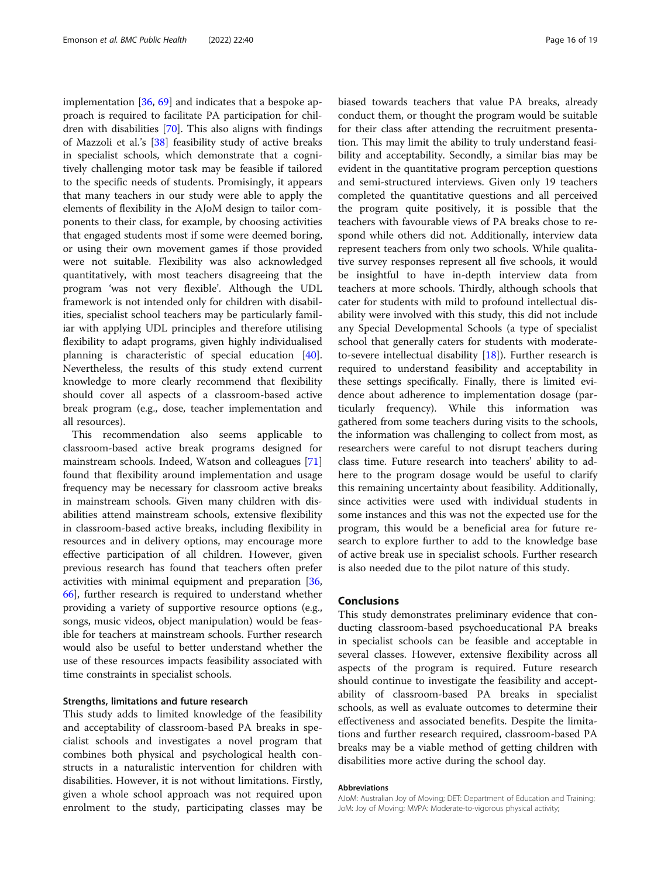implementation [[36](#page-17-0), [69](#page-18-0)] and indicates that a bespoke approach is required to facilitate PA participation for children with disabilities [[70\]](#page-18-0). This also aligns with findings of Mazzoli et al.'s [\[38\]](#page-17-0) feasibility study of active breaks in specialist schools, which demonstrate that a cognitively challenging motor task may be feasible if tailored to the specific needs of students. Promisingly, it appears that many teachers in our study were able to apply the elements of flexibility in the AJoM design to tailor components to their class, for example, by choosing activities that engaged students most if some were deemed boring, or using their own movement games if those provided were not suitable. Flexibility was also acknowledged quantitatively, with most teachers disagreeing that the program 'was not very flexible'. Although the UDL framework is not intended only for children with disabilities, specialist school teachers may be particularly familiar with applying UDL principles and therefore utilising flexibility to adapt programs, given highly individualised planning is characteristic of special education [\[40](#page-17-0)]. Nevertheless, the results of this study extend current knowledge to more clearly recommend that flexibility should cover all aspects of a classroom-based active break program (e.g., dose, teacher implementation and all resources).

This recommendation also seems applicable to classroom-based active break programs designed for mainstream schools. Indeed, Watson and colleagues [[71](#page-18-0)] found that flexibility around implementation and usage frequency may be necessary for classroom active breaks in mainstream schools. Given many children with disabilities attend mainstream schools, extensive flexibility in classroom-based active breaks, including flexibility in resources and in delivery options, may encourage more effective participation of all children. However, given previous research has found that teachers often prefer activities with minimal equipment and preparation [[36](#page-17-0), [66\]](#page-18-0), further research is required to understand whether providing a variety of supportive resource options (e.g., songs, music videos, object manipulation) would be feasible for teachers at mainstream schools. Further research would also be useful to better understand whether the use of these resources impacts feasibility associated with time constraints in specialist schools.

#### Strengths, limitations and future research

This study adds to limited knowledge of the feasibility and acceptability of classroom-based PA breaks in specialist schools and investigates a novel program that combines both physical and psychological health constructs in a naturalistic intervention for children with disabilities. However, it is not without limitations. Firstly, given a whole school approach was not required upon enrolment to the study, participating classes may be biased towards teachers that value PA breaks, already conduct them, or thought the program would be suitable for their class after attending the recruitment presentation. This may limit the ability to truly understand feasibility and acceptability. Secondly, a similar bias may be evident in the quantitative program perception questions and semi-structured interviews. Given only 19 teachers completed the quantitative questions and all perceived the program quite positively, it is possible that the teachers with favourable views of PA breaks chose to respond while others did not. Additionally, interview data represent teachers from only two schools. While qualitative survey responses represent all five schools, it would be insightful to have in-depth interview data from teachers at more schools. Thirdly, although schools that cater for students with mild to profound intellectual disability were involved with this study, this did not include any Special Developmental Schools (a type of specialist school that generally caters for students with moderateto-severe intellectual disability [[18](#page-17-0)]). Further research is required to understand feasibility and acceptability in these settings specifically. Finally, there is limited evidence about adherence to implementation dosage (particularly frequency). While this information was gathered from some teachers during visits to the schools, the information was challenging to collect from most, as researchers were careful to not disrupt teachers during class time. Future research into teachers' ability to adhere to the program dosage would be useful to clarify this remaining uncertainty about feasibility. Additionally, since activities were used with individual students in some instances and this was not the expected use for the program, this would be a beneficial area for future research to explore further to add to the knowledge base of active break use in specialist schools. Further research is also needed due to the pilot nature of this study.

#### Conclusions

This study demonstrates preliminary evidence that conducting classroom-based psychoeducational PA breaks in specialist schools can be feasible and acceptable in several classes. However, extensive flexibility across all aspects of the program is required. Future research should continue to investigate the feasibility and acceptability of classroom-based PA breaks in specialist schools, as well as evaluate outcomes to determine their effectiveness and associated benefits. Despite the limitations and further research required, classroom-based PA breaks may be a viable method of getting children with disabilities more active during the school day.

#### Abbreviations

AJoM: Australian Joy of Moving; DET: Department of Education and Training; JoM: Joy of Moving; MVPA: Moderate-to-vigorous physical activity;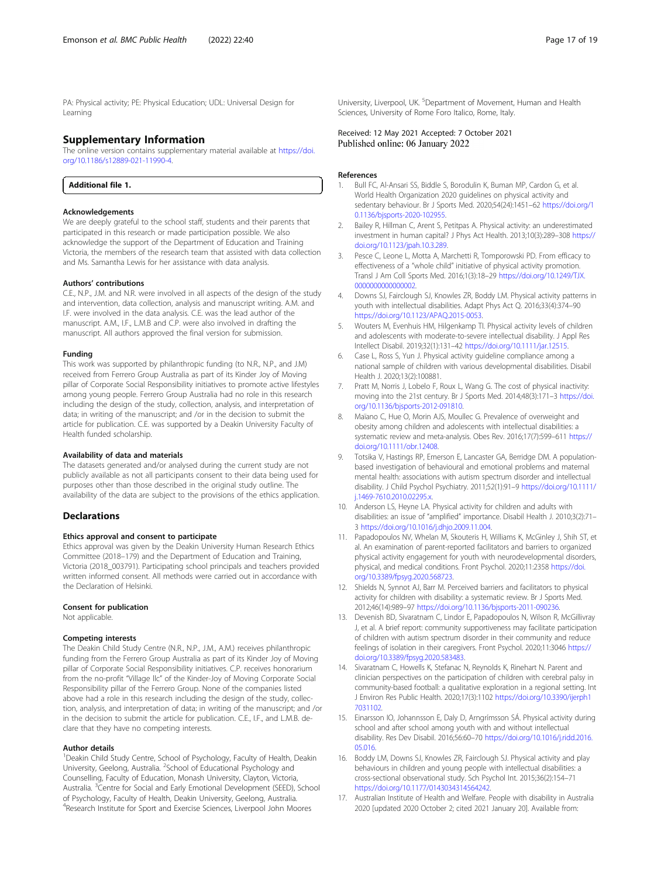<span id="page-16-0"></span>PA: Physical activity; PE: Physical Education; UDL: Universal Design for Learning

#### Supplementary Information

The online version contains supplementary material available at [https://doi.](https://doi.org/10.1186/s12889-021-11990-4) [org/10.1186/s12889-021-11990-4.](https://doi.org/10.1186/s12889-021-11990-4)

Additional file 1.

#### Acknowledgements

We are deeply grateful to the school staff, students and their parents that participated in this research or made participation possible. We also acknowledge the support of the Department of Education and Training Victoria, the members of the research team that assisted with data collection and Ms. Samantha Lewis for her assistance with data analysis.

#### Authors' contributions

C.E., N.P., J.M. and N.R. were involved in all aspects of the design of the study and intervention, data collection, analysis and manuscript writing. A.M. and I.F. were involved in the data analysis. C.E. was the lead author of the manuscript. A.M., I.F., L.M.B and C.P. were also involved in drafting the manuscript. All authors approved the final version for submission.

#### Funding

This work was supported by philanthropic funding (to N.R., N.P., and J.M) received from Ferrero Group Australia as part of its Kinder Joy of Moving pillar of Corporate Social Responsibility initiatives to promote active lifestyles among young people. Ferrero Group Australia had no role in this research including the design of the study, collection, analysis, and interpretation of data; in writing of the manuscript; and /or in the decision to submit the article for publication. C.E. was supported by a Deakin University Faculty of Health funded scholarship.

#### Availability of data and materials

The datasets generated and/or analysed during the current study are not publicly available as not all participants consent to their data being used for purposes other than those described in the original study outline. The availability of the data are subject to the provisions of the ethics application.

#### Declarations

#### Ethics approval and consent to participate

Ethics approval was given by the Deakin University Human Research Ethics Committee (2018–179) and the Department of Education and Training, Victoria (2018\_003791). Participating school principals and teachers provided written informed consent. All methods were carried out in accordance with the Declaration of Helsinki.

#### Consent for publication

Not applicable.

#### Competing interests

The Deakin Child Study Centre (N.R., N.P., J.M., A.M.) receives philanthropic funding from the Ferrero Group Australia as part of its Kinder Joy of Moving pillar of Corporate Social Responsibility initiatives. C.P. receives honorarium from the no-profit "Village llc" of the Kinder-Joy of Moving Corporate Social Responsibility pillar of the Ferrero Group. None of the companies listed above had a role in this research including the design of the study, collection, analysis, and interpretation of data; in writing of the manuscript; and /or in the decision to submit the article for publication. C.E., I.F., and L.M.B. declare that they have no competing interests.

#### Author details

<sup>1</sup> Deakin Child Study Centre, School of Psychology, Faculty of Health, Deakin University, Geelong, Australia. <sup>2</sup>School of Educational Psychology and Counselling, Faculty of Education, Monash University, Clayton, Victoria, Australia. <sup>3</sup>Centre for Social and Early Emotional Development (SEED), School of Psychology, Faculty of Health, Deakin University, Geelong, Australia. 4 Research Institute for Sport and Exercise Sciences, Liverpool John Moores

University, Liverpool, UK.<sup>5</sup> Department of Movement, Human and Health Sciences, University of Rome Foro Italico, Rome, Italy.

#### Received: 12 May 2021 Accepted: 7 October 2021 Published online: 06 January 2022

#### References

- 1. Bull FC, Al-Ansari SS, Biddle S, Borodulin K, Buman MP, Cardon G, et al. World Health Organization 2020 guidelines on physical activity and sedentary behaviour. Br J Sports Med. 2020;54(24):1451–62 [https://doi.org/1](https://doi.org/10.1136/bjsports-2020-102955) [0.1136/bjsports-2020-102955](https://doi.org/10.1136/bjsports-2020-102955).
- 2. Bailey R, Hillman C, Arent S, Petitpas A. Physical activity: an underestimated investment in human capital? J Phys Act Health. 2013;10(3):289–308 [https://](https://doi.org/10.1123/jpah.10.3.289) [doi.org/10.1123/jpah.10.3.289.](https://doi.org/10.1123/jpah.10.3.289)
- 3. Pesce C, Leone L, Motta A, Marchetti R, Tomporowski PD. From efficacy to effectiveness of a "whole child" initiative of physical activity promotion. Transl J Am Coll Sports Med. 2016;1(3):18–29 [https://doi.org/10.1249/TJX.](https://doi.org/10.1249/TJX.0000000000000002) [0000000000000002](https://doi.org/10.1249/TJX.0000000000000002).
- 4. Downs SJ, Fairclough SJ, Knowles ZR, Boddy LM. Physical activity patterns in youth with intellectual disabilities. Adapt Phys Act Q. 2016;33(4):374–90 <https://doi.org/10.1123/APAQ.2015-0053>.
- 5. Wouters M, Evenhuis HM, Hilgenkamp TI. Physical activity levels of children and adolescents with moderate-to-severe intellectual disability. J Appl Res Intellect Disabil. 2019;32(1):131–42 <https://doi.org/10.1111/jar.12515>.
- Case L, Ross S, Yun J. Physical activity guideline compliance among a national sample of children with various developmental disabilities. Disabil Health J. 2020;13(2):100881.
- 7. Pratt M, Norris J, Lobelo F, Roux L, Wang G. The cost of physical inactivity: moving into the 21st century. Br J Sports Med. 2014;48(3):171–3 [https://doi.](https://doi.org/10.1136/bjsports-2012-091810) [org/10.1136/bjsports-2012-091810.](https://doi.org/10.1136/bjsports-2012-091810)
- 8. Maïano C, Hue O, Morin AJS, Moullec G. Prevalence of overweight and obesity among children and adolescents with intellectual disabilities: a systematic review and meta-analysis. Obes Rev. 2016;17(7):599–611 [https://](https://doi.org/10.1111/obr.12408) [doi.org/10.1111/obr.12408](https://doi.org/10.1111/obr.12408).
- 9. Totsika V, Hastings RP, Emerson E, Lancaster GA, Berridge DM. A populationbased investigation of behavioural and emotional problems and maternal mental health: associations with autism spectrum disorder and intellectual disability. J Child Psychol Psychiatry. 2011;52(1):91–9 [https://doi.org/10.1111/](https://doi.org/10.1111/j.1469-7610.2010.02295.x) [j.1469-7610.2010.02295.x](https://doi.org/10.1111/j.1469-7610.2010.02295.x).
- 10. Anderson LS, Heyne LA. Physical activity for children and adults with disabilities: an issue of "amplified" importance. Disabil Health J. 2010;3(2):71– 3 <https://doi.org/10.1016/j.dhjo.2009.11.004>.
- 11. Papadopoulos NV, Whelan M, Skouteris H, Williams K, McGinley J, Shih ST, et al. An examination of parent-reported facilitators and barriers to organized physical activity engagement for youth with neurodevelopmental disorders, physical, and medical conditions. Front Psychol. 2020;11:2358 [https://doi.](https://doi.org/10.3389/fpsyg.2020.568723) [org/10.3389/fpsyg.2020.568723.](https://doi.org/10.3389/fpsyg.2020.568723)
- 12. Shields N, Synnot AJ, Barr M. Perceived barriers and facilitators to physical activity for children with disability: a systematic review. Br J Sports Med. 2012;46(14):989–97 [https://doi.org/10.1136/bjsports-2011-090236.](https://doi.org/10.1136/bjsports-2011-090236)
- 13. Devenish BD, Sivaratnam C, Lindor E, Papadopoulos N, Wilson R, McGillivray J, et al. A brief report: community supportiveness may facilitate participation of children with autism spectrum disorder in their community and reduce feelings of isolation in their caregivers. Front Psychol. 2020;11:3046 [https://](https://doi.org/10.3389/fpsyg.2020.583483) [doi.org/10.3389/fpsyg.2020.583483](https://doi.org/10.3389/fpsyg.2020.583483).
- 14. Sivaratnam C, Howells K, Stefanac N, Reynolds K, Rinehart N. Parent and clinician perspectives on the participation of children with cerebral palsy in community-based football: a qualitative exploration in a regional setting. Int J Environ Res Public Health. 2020;17(3):1102 [https://doi.org/10.3390/ijerph1](https://doi.org/10.3390/ijerph17031102) [7031102.](https://doi.org/10.3390/ijerph17031102)
- 15. Einarsson IO, Johannsson E, Daly D, Arngrímsson SÁ. Physical activity during school and after school among youth with and without intellectual disability. Res Dev Disabil. 2016;56:60–70 [https://doi.org/10.1016/j.ridd.2016.](https://doi.org/10.1016/j.ridd.2016.05.016) [05.016](https://doi.org/10.1016/j.ridd.2016.05.016).
- 16. Boddy LM, Downs SJ, Knowles ZR, Fairclough SJ. Physical activity and play behaviours in children and young people with intellectual disabilities: a cross-sectional observational study. Sch Psychol Int. 2015;36(2):154–71 [https://doi.org/10.1177/0143034314564242.](https://doi.org/10.1177/0143034314564242)
- 17. Australian Institute of Health and Welfare. People with disability in Australia 2020 [updated 2020 October 2; cited 2021 January 20]. Available from: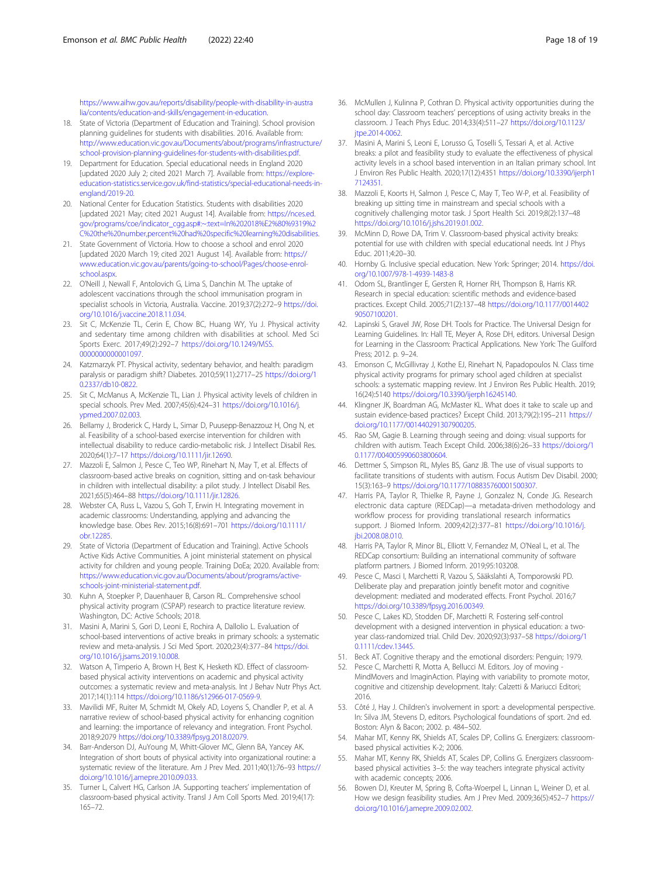<span id="page-17-0"></span>[https://www.aihw.gov.au/reports/disability/people-with-disability-in-austra](https://www.aihw.gov.au/reports/disability/people-with-disability-in-australia/contents/education-and-skills/engagement-in-education) [lia/contents/education-and-skills/engagement-in-education.](https://www.aihw.gov.au/reports/disability/people-with-disability-in-australia/contents/education-and-skills/engagement-in-education)

- 18. State of Victoria (Department of Education and Training). School provision planning guidelines for students with disabilities. 2016. Available from: [http://www.education.vic.gov.au/Documents/about/programs/infrastructure/](http://www.education.vic.gov.au/Documents/about/programs/infrastructure/school-provision-planning-guidelines-for-students-with-disabilities.pdf) [school-provision-planning-guidelines-for-students-with-disabilities.pdf](http://www.education.vic.gov.au/Documents/about/programs/infrastructure/school-provision-planning-guidelines-for-students-with-disabilities.pdf).
- 19. Department for Education. Special educational needs in England 2020 [updated 2020 July 2; cited 2021 March 7]. Available from: [https://explore](https://explore-education-statistics.service.gov.uk/find-statistics/special-educational-needs-in-england/2019-20)[education-statistics.service.gov.uk/find-statistics/special-educational-needs-in](https://explore-education-statistics.service.gov.uk/find-statistics/special-educational-needs-in-england/2019-20)[england/2019-20](https://explore-education-statistics.service.gov.uk/find-statistics/special-educational-needs-in-england/2019-20).
- 20. National Center for Education Statistics. Students with disabilities 2020 [updated 2021 May; cited 2021 August 14]. Available from: [https://nces.ed.](https://nces.ed.gov/programs/coe/indicator_cgg.asp#:~:text=In%202018%E2%80%9319%2C%20the%20number,percent%20had%20specific%20learning%20disabilities) [gov/programs/coe/indicator\\_cgg.asp#:~:text=In%202018%E2%80%9319%2](https://nces.ed.gov/programs/coe/indicator_cgg.asp#:~:text=In%202018%E2%80%9319%2C%20the%20number,percent%20had%20specific%20learning%20disabilities) [C%20the%20number,percent%20had%20specific%20learning%20disabilities.](https://nces.ed.gov/programs/coe/indicator_cgg.asp#:~:text=In%202018%E2%80%9319%2C%20the%20number,percent%20had%20specific%20learning%20disabilities)
- 21. State Government of Victoria. How to choose a school and enrol 2020 [updated 2020 March 19; cited 2021 August 14]. Available from: [https://](https://www.education.vic.gov.au/parents/going-to-school/Pages/choose-enrol-school.aspx) [www.education.vic.gov.au/parents/going-to-school/Pages/choose-enrol](https://www.education.vic.gov.au/parents/going-to-school/Pages/choose-enrol-school.aspx)[school.aspx](https://www.education.vic.gov.au/parents/going-to-school/Pages/choose-enrol-school.aspx).
- 22. O'Neill J, Newall F, Antolovich G, Lima S, Danchin M. The uptake of adolescent vaccinations through the school immunisation program in specialist schools in Victoria, Australia. Vaccine. 2019;37(2):272–9 [https://doi.](https://doi.org/10.1016/j.vaccine.2018.11.034) [org/10.1016/j.vaccine.2018.11.034](https://doi.org/10.1016/j.vaccine.2018.11.034).
- 23. Sit C, McKenzie TL, Cerin E, Chow BC, Huang WY, Yu J. Physical activity and sedentary time among children with disabilities at school. Med Sci Sports Exerc. 2017;49(2):292–7 [https://doi.org/10.1249/MSS.](https://doi.org/10.1249/MSS.0000000000001097) [0000000000001097.](https://doi.org/10.1249/MSS.0000000000001097)
- 24. Katzmarzyk PT. Physical activity, sedentary behavior, and health: paradigm paralysis or paradigm shift? Diabetes. 2010;59(11):2717–25 [https://doi.org/1](https://doi.org/10.2337/db10-0822) [0.2337/db10-0822.](https://doi.org/10.2337/db10-0822)
- 25. Sit C, McManus A, McKenzie TL, Lian J. Physical activity levels of children in special schools. Prev Med. 2007;45(6):424–31 [https://doi.org/10.1016/j.](https://doi.org/10.1016/j.ypmed.2007.02.003) [ypmed.2007.02.003.](https://doi.org/10.1016/j.ypmed.2007.02.003)
- 26. Bellamy J, Broderick C, Hardy L, Simar D, Puusepp-Benazzouz H, Ong N, et al. Feasibility of a school-based exercise intervention for children with intellectual disability to reduce cardio-metabolic risk. J Intellect Disabil Res. 2020;64(1):7–17 <https://doi.org/10.1111/jir.12690>.
- 27. Mazzoli E, Salmon J, Pesce C, Teo WP, Rinehart N, May T, et al. Effects of classroom-based active breaks on cognition, sitting and on-task behaviour in children with intellectual disability: a pilot study. J Intellect Disabil Res. 2021;65(5):464–88 [https://doi.org/10.1111/jir.12826.](https://doi.org/10.1111/jir.12826)
- 28. Webster CA, Russ L, Vazou S, Goh T, Erwin H. Integrating movement in academic classrooms: Understanding, applying and advancing the knowledge base. Obes Rev. 2015;16(8):691–701 [https://doi.org/10.1111/](https://doi.org/10.1111/obr.12285) [obr.12285.](https://doi.org/10.1111/obr.12285)
- 29. State of Victoria (Department of Education and Training). Active Schools Active Kids Active Communities. A joint ministerial statement on physical activity for children and young people. Training DoEa; 2020. Available from: [https://www.education.vic.gov.au/Documents/about/programs/active](https://www.education.vic.gov.au/Documents/about/programs/active-schools-joint-ministerial-statement.pdf)[schools-joint-ministerial-statement.pdf](https://www.education.vic.gov.au/Documents/about/programs/active-schools-joint-ministerial-statement.pdf).
- 30. Kuhn A, Stoepker P, Dauenhauer B, Carson RL. Comprehensive school physical activity program (CSPAP) research to practice literature review. Washington, DC: Active Schools; 2018.
- 31. Masini A, Marini S, Gori D, Leoni E, Rochira A, Dallolio L. Evaluation of school-based interventions of active breaks in primary schools: a systematic review and meta-analysis. J Sci Med Sport. 2020;23(4):377–84 [https://doi.](https://doi.org/10.1016/j.jsams.2019.10.008) [org/10.1016/j.jsams.2019.10.008.](https://doi.org/10.1016/j.jsams.2019.10.008)
- 32. Watson A, Timperio A, Brown H, Best K, Hesketh KD. Effect of classroombased physical activity interventions on academic and physical activity outcomes: a systematic review and meta-analysis. Int J Behav Nutr Phys Act. 2017;14(1):114 <https://doi.org/10.1186/s12966-017-0569-9>.
- 33. Mavilidi MF, Ruiter M, Schmidt M, Okely AD, Loyens S, Chandler P, et al. A narrative review of school-based physical activity for enhancing cognition and learning: the importance of relevancy and integration. Front Psychol. 2018;9:2079 [https://doi.org/10.3389/fpsyg.2018.02079.](https://doi.org/10.3389/fpsyg.2018.02079)
- 34. Barr-Anderson DJ, AuYoung M, Whitt-Glover MC, Glenn BA, Yancey AK. Integration of short bouts of physical activity into organizational routine: a systematic review of the literature. Am J Prev Med. 2011;40(1):76–93 [https://](https://doi.org/10.1016/j.amepre.2010.09.033) [doi.org/10.1016/j.amepre.2010.09.033.](https://doi.org/10.1016/j.amepre.2010.09.033)
- 35. Turner L, Calvert HG, Carlson JA. Supporting teachers' implementation of classroom-based physical activity. Transl J Am Coll Sports Med. 2019;4(17): 165–72.
- 36. McMullen J, Kulinna P, Cothran D. Physical activity opportunities during the school day: Classroom teachers' perceptions of using activity breaks in the classroom. J Teach Phys Educ. 2014;33(4):511–27 [https://doi.org/10.1123/](https://doi.org/10.1123/jtpe.2014-0062) itpe.2014-0062.
- 37. Masini A, Marini S, Leoni E, Lorusso G, Toselli S, Tessari A, et al. Active breaks: a pilot and feasibility study to evaluate the effectiveness of physical activity levels in a school based intervention in an Italian primary school. Int J Environ Res Public Health. 2020;17(12):4351 [https://doi.org/10.3390/ijerph1](https://doi.org/10.3390/ijerph17124351) [7124351.](https://doi.org/10.3390/ijerph17124351)
- 38. Mazzoli E, Koorts H, Salmon J, Pesce C, May T, Teo W-P, et al. Feasibility of breaking up sitting time in mainstream and special schools with a cognitively challenging motor task. J Sport Health Sci. 2019;8(2):137–48 <https://doi.org/10.1016/j.jshs.2019.01.002>.
- 39. McMinn D, Rowe DA, Trim V. Classroom-based physical activity breaks: potential for use with children with special educational needs. Int J Phys Educ. 2011;4:20–30.
- 40. Hornby G. Inclusive special education. New York: Springer; 2014. [https://doi.](https://doi.org/10.1007/978-1-4939-1483-8) [org/10.1007/978-1-4939-1483-8](https://doi.org/10.1007/978-1-4939-1483-8)
- 41. Odom SL, Brantlinger E, Gersten R, Horner RH, Thompson B, Harris KR. Research in special education: scientific methods and evidence-based practices. Except Child. 2005;71(2):137–48 [https://doi.org/10.1177/0014402](https://doi.org/10.1177/001440290507100201) [90507100201](https://doi.org/10.1177/001440290507100201).
- 42. Lapinski S, Gravel JW, Rose DH. Tools for Practice. The Universal Design for Learning Guidelines. In: Hall TE, Meyer A, Rose DH, editors. Universal Design for Learning in the Classroom: Practical Applications. New York: The Guilford Press; 2012. p. 9–24.
- 43. Emonson C, McGillivray J, Kothe EJ, Rinehart N, Papadopoulos N. Class time physical activity programs for primary school aged children at specialist schools: a systematic mapping review. Int J Environ Res Public Health. 2019; 16(24):5140 [https://doi.org/10.3390/ijerph16245140.](https://doi.org/10.3390/ijerph16245140)
- 44. Klingner JK, Boardman AG, McMaster KL. What does it take to scale up and sustain evidence-based practices? Except Child. 2013;79(2):195–211 [https://](https://doi.org/10.1177/001440291307900205) [doi.org/10.1177/001440291307900205.](https://doi.org/10.1177/001440291307900205)
- 45. Rao SM, Gagie B. Learning through seeing and doing: visual supports for children with autism. Teach Except Child. 2006;38(6):26–33 [https://doi.org/1](https://doi.org/10.1177/004005990603800604) [0.1177/004005990603800604.](https://doi.org/10.1177/004005990603800604)
- 46. Dettmer S, Simpson RL, Myles BS, Ganz JB. The use of visual supports to facilitate transitions of students with autism. Focus Autism Dev Disabil. 2000; 15(3):163–9 [https://doi.org/10.1177/108835760001500307.](https://doi.org/10.1177/108835760001500307)
- 47. Harris PA, Taylor R, Thielke R, Payne J, Gonzalez N, Conde JG. Research electronic data capture (REDCap)—a metadata-driven methodology and workflow process for providing translational research informatics support. J Biomed Inform. 2009;42(2):377–81 [https://doi.org/10.1016/j.](https://doi.org/10.1016/j.jbi.2008.08.010) [jbi.2008.08.010](https://doi.org/10.1016/j.jbi.2008.08.010).
- 48. Harris PA, Taylor R, Minor BL, Elliott V, Fernandez M, O'Neal L, et al. The REDCap consortium: Building an international community of software platform partners. J Biomed Inform. 2019;95:103208.
- 49. Pesce C, Masci I, Marchetti R, Vazou S, Sääkslahti A, Tomporowski PD. Deliberate play and preparation jointly benefit motor and cognitive development: mediated and moderated effects. Front Psychol. 2016;7 <https://doi.org/10.3389/fpsyg.2016.00349>.
- 50. Pesce C, Lakes KD, Stodden DF, Marchetti R. Fostering self-control development with a designed intervention in physical education: a twoyear class-randomized trial. Child Dev. 2020;92(3):937–58 [https://doi.org/1](https://doi.org/10.1111/cdev.13445) [0.1111/cdev.13445](https://doi.org/10.1111/cdev.13445).
- 51. Beck AT. Cognitive therapy and the emotional disorders: Penguin; 1979.
- 52. Pesce C, Marchetti R, Motta A, Bellucci M. Editors. Joy of moving MindMovers and ImaginAction. Playing with variability to promote motor, cognitive and citizenship development. Italy: Calzetti & Mariucci Editori; 2016.
- 53. Côté J, Hay J. Children's involvement in sport: a developmental perspective. In: Silva JM, Stevens D, editors. Psychological foundations of sport. 2nd ed. Boston: Alyn & Bacon; 2002. p. 484–502.
- 54. Mahar MT, Kenny RK, Shields AT, Scales DP, Collins G. Energizers: classroombased physical activities K-2; 2006.
- 55. Mahar MT, Kenny RK, Shields AT, Scales DP, Collins G. Energizers classroombased physical activities 3–5: the way teachers integrate physical activity with academic concepts; 2006.
- 56. Bowen DJ, Kreuter M, Spring B, Cofta-Woerpel L, Linnan L, Weiner D, et al. How we design feasibility studies. Am J Prev Med. 2009;36(5):452–7 [https://](https://doi.org/10.1016/j.amepre.2009.02.002) [doi.org/10.1016/j.amepre.2009.02.002.](https://doi.org/10.1016/j.amepre.2009.02.002)